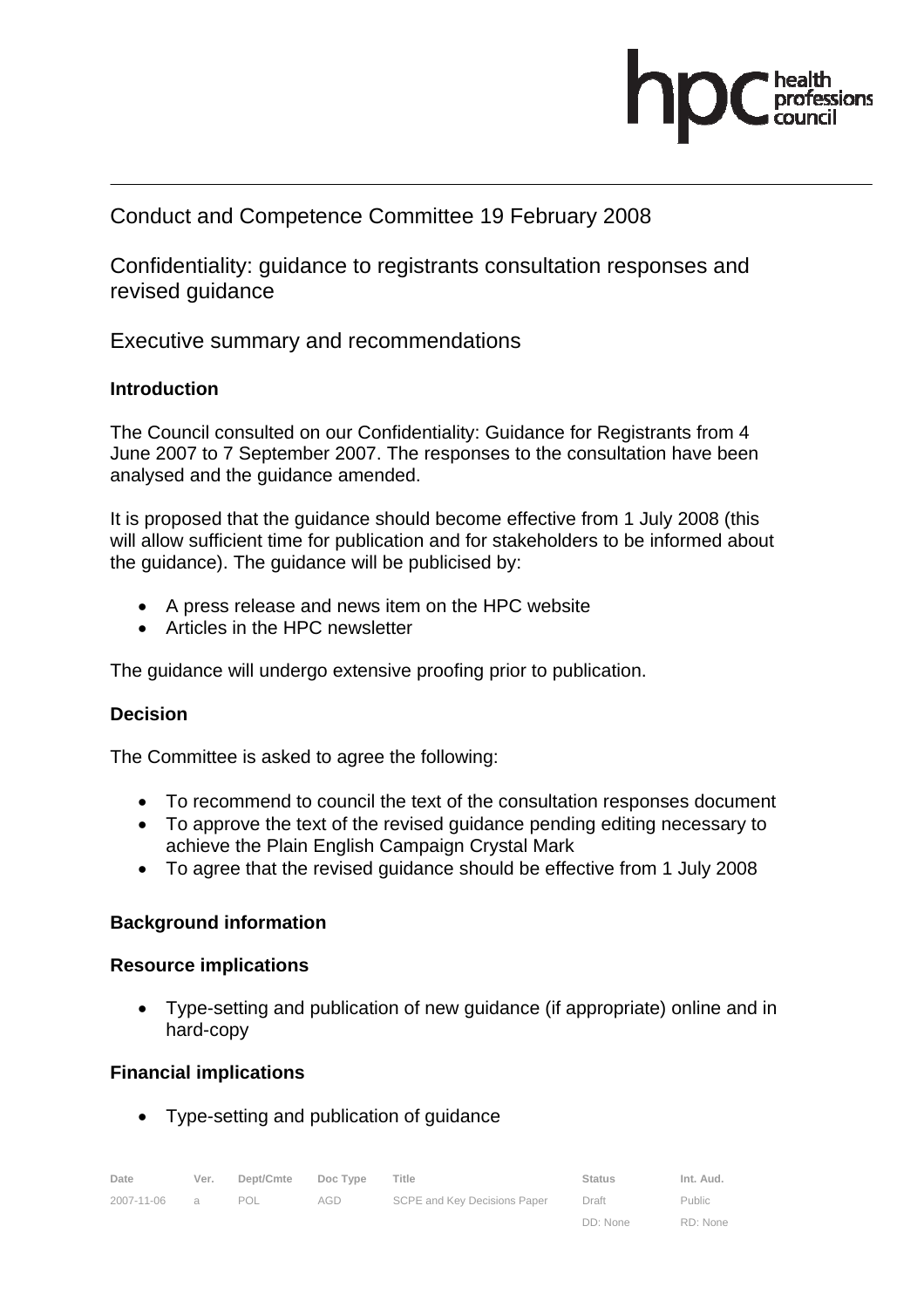

## Conduct and Competence Committee 19 February 2008

Confidentiality: guidance to registrants consultation responses and revised guidance

Executive summary and recommendations

## **Introduction**

The Council consulted on our Confidentiality: Guidance for Registrants from 4 June 2007 to 7 September 2007. The responses to the consultation have been analysed and the guidance amended.

It is proposed that the guidance should become effective from 1 July 2008 (this will allow sufficient time for publication and for stakeholders to be informed about the guidance). The guidance will be publicised by:

- A press release and news item on the HPC website
- Articles in the HPC newsletter

The guidance will undergo extensive proofing prior to publication.

## **Decision**

The Committee is asked to agree the following:

- To recommend to council the text of the consultation responses document
- To approve the text of the revised guidance pending editing necessary to achieve the Plain English Campaign Crystal Mark
- To agree that the revised guidance should be effective from 1 July 2008

## **Background information**

## **Resource implications**

• Type-setting and publication of new guidance (if appropriate) online and in hard-copy

## **Financial implications**

• Type-setting and publication of guidance

| Date       | Ver. | Dept/Cmte Doc Type |     | Title                        | <b>Status</b> | Int. Aud. |
|------------|------|--------------------|-----|------------------------------|---------------|-----------|
| 2007-11-06 |      | POL                | AGD | SCPE and Key Decisions Paper | Draft         | Public    |

DD: None

RD: None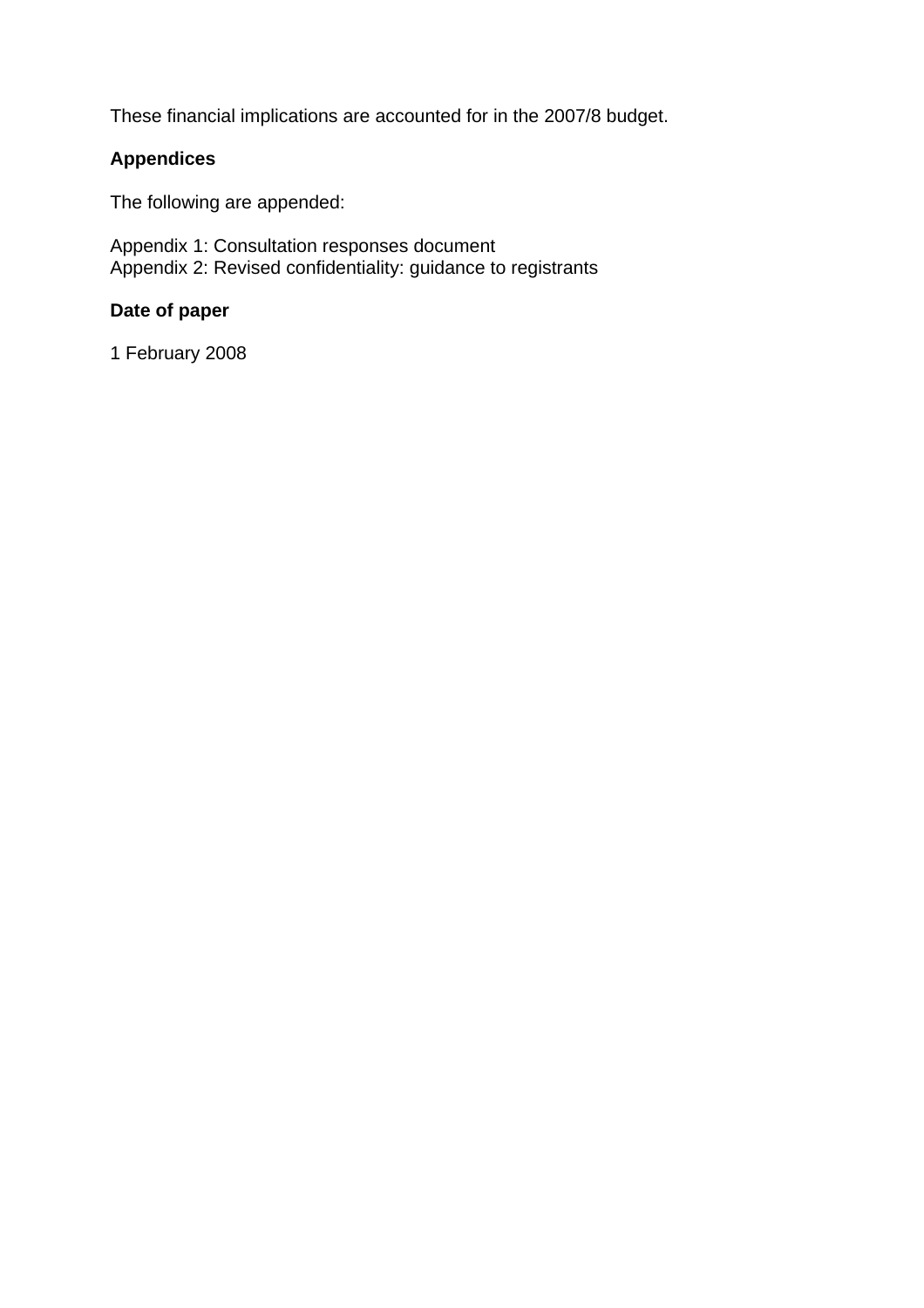These financial implications are accounted for in the 2007/8 budget.

## **Appendices**

The following are appended:

Appendix 1: Consultation responses document Appendix 2: Revised confidentiality: guidance to registrants

## **Date of paper**

1 February 2008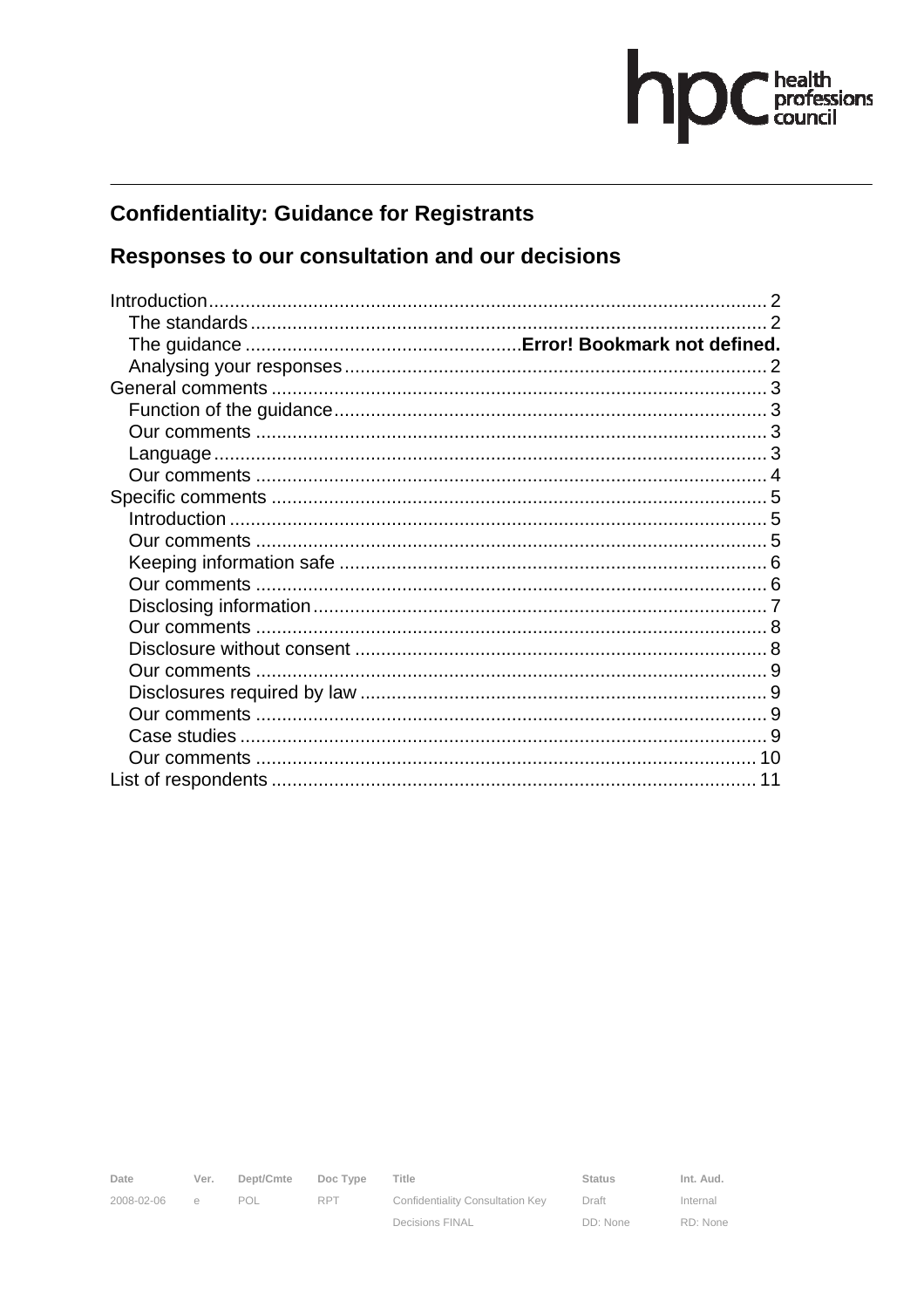# hp C health

# **Confidentiality: Guidance for Registrants**

# Responses to our consultation and our decisions

| Introduction. |  |
|---------------|--|
|               |  |
|               |  |
|               |  |
|               |  |
|               |  |
|               |  |
|               |  |
|               |  |
|               |  |
|               |  |
|               |  |
|               |  |
|               |  |
|               |  |
|               |  |
|               |  |
|               |  |
|               |  |
|               |  |
|               |  |
|               |  |
|               |  |

2008-02-06 e POL RPT

Date Ver. Dept/Cmte Doc Type

Title

Confidentiality Consultation Key **Decisions FINAL** 

Status Draft DD: None Int. Aud. Internal RD: None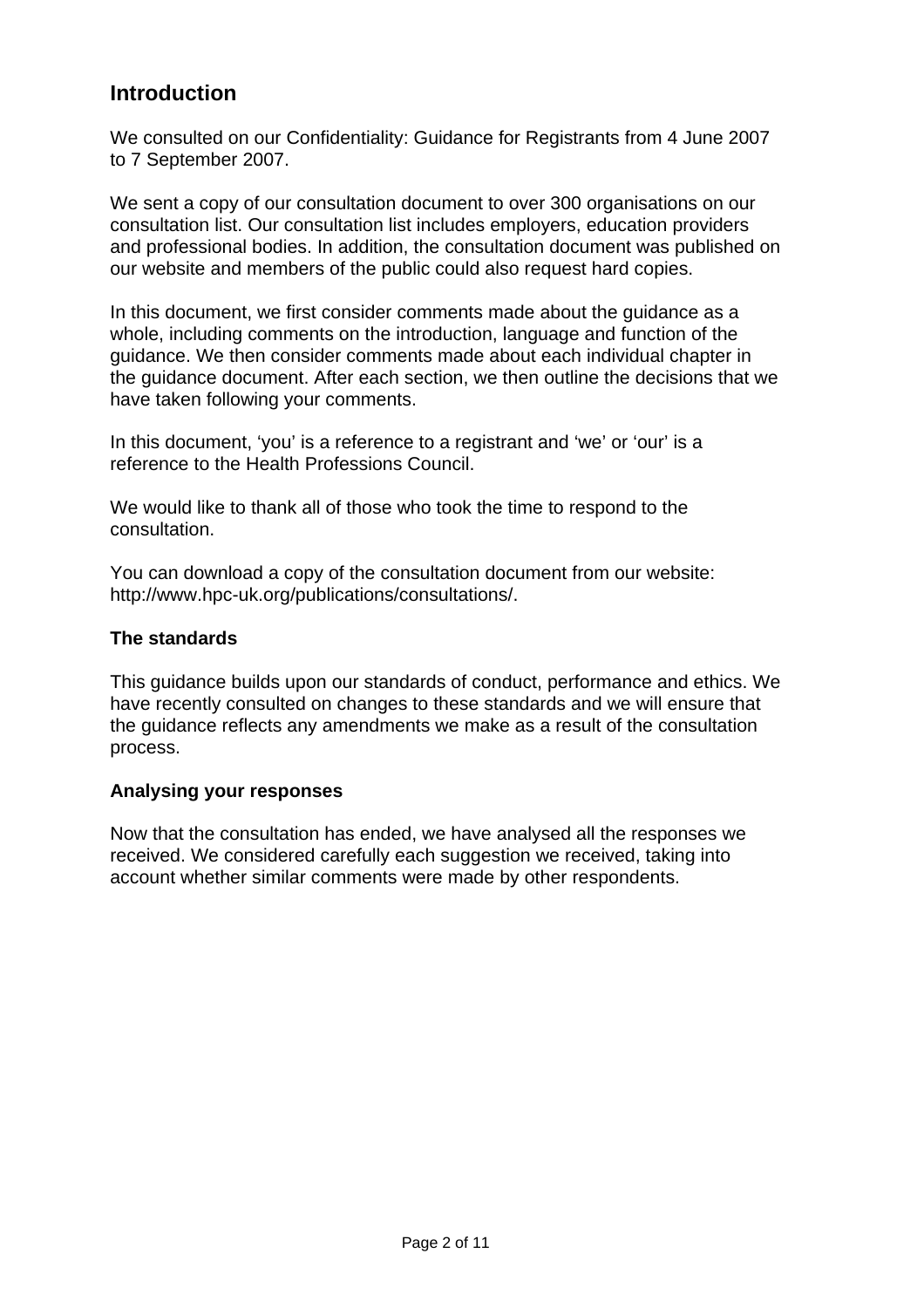# **Introduction**

We consulted on our Confidentiality: Guidance for Registrants from 4 June 2007 to 7 September 2007.

We sent a copy of our consultation document to over 300 organisations on our consultation list. Our consultation list includes employers, education providers and professional bodies. In addition, the consultation document was published on our website and members of the public could also request hard copies.

In this document, we first consider comments made about the guidance as a whole, including comments on the introduction, language and function of the guidance. We then consider comments made about each individual chapter in the guidance document. After each section, we then outline the decisions that we have taken following your comments.

In this document, 'you' is a reference to a registrant and 'we' or 'our' is a reference to the Health Professions Council.

We would like to thank all of those who took the time to respond to the consultation.

You can download a copy of the consultation document from our website: http://www.hpc-uk.org/publications/consultations/.

## **The standards**

This guidance builds upon our standards of conduct, performance and ethics. We have recently consulted on changes to these standards and we will ensure that the guidance reflects any amendments we make as a result of the consultation process.

## **Analysing your responses**

Now that the consultation has ended, we have analysed all the responses we received. We considered carefully each suggestion we received, taking into account whether similar comments were made by other respondents.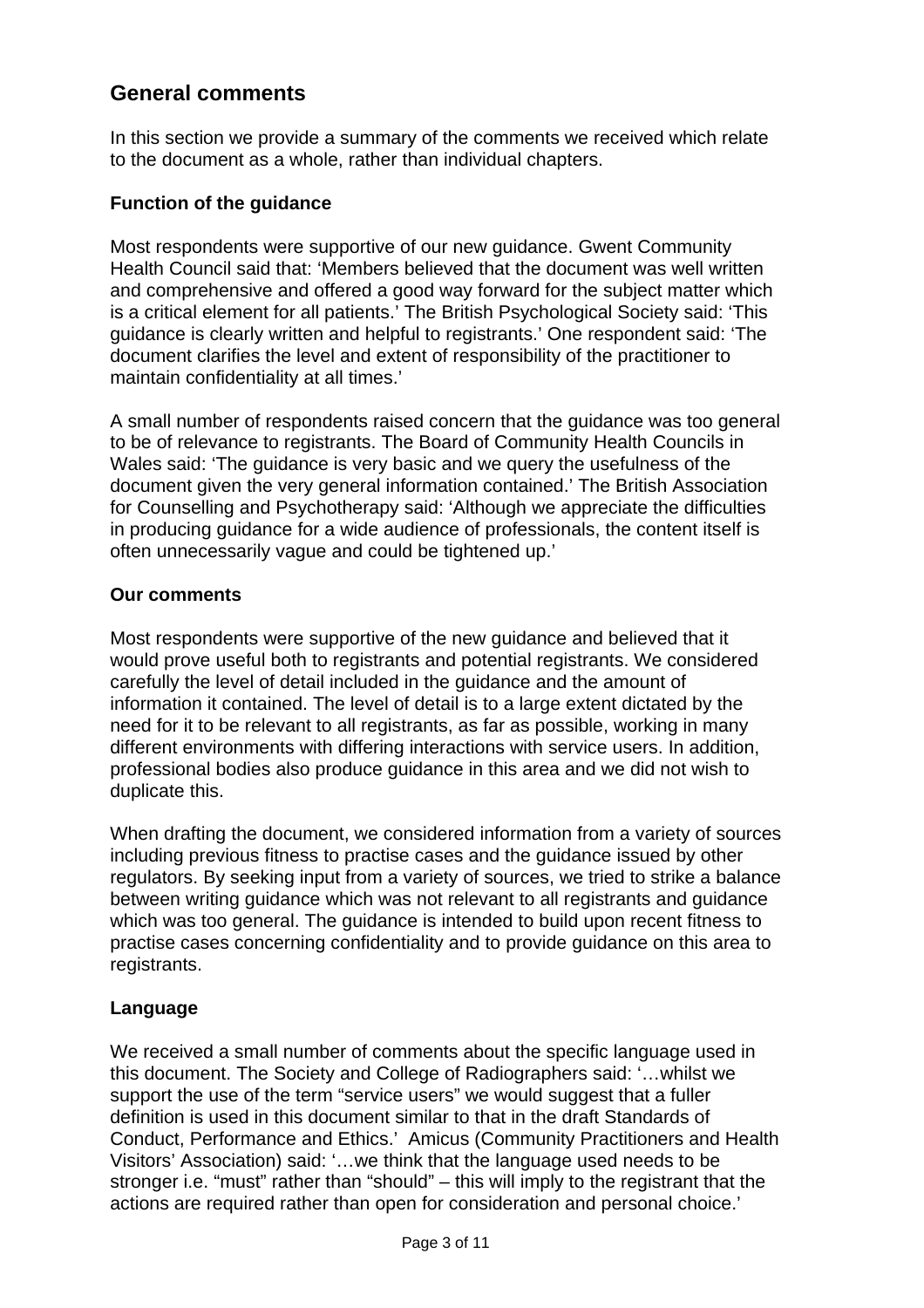# **General comments**

In this section we provide a summary of the comments we received which relate to the document as a whole, rather than individual chapters.

## **Function of the guidance**

Most respondents were supportive of our new guidance. Gwent Community Health Council said that: 'Members believed that the document was well written and comprehensive and offered a good way forward for the subject matter which is a critical element for all patients.' The British Psychological Society said: 'This guidance is clearly written and helpful to registrants.' One respondent said: 'The document clarifies the level and extent of responsibility of the practitioner to maintain confidentiality at all times.'

A small number of respondents raised concern that the guidance was too general to be of relevance to registrants. The Board of Community Health Councils in Wales said: 'The guidance is very basic and we query the usefulness of the document given the very general information contained.' The British Association for Counselling and Psychotherapy said: 'Although we appreciate the difficulties in producing guidance for a wide audience of professionals, the content itself is often unnecessarily vague and could be tightened up.'

## **Our comments**

Most respondents were supportive of the new guidance and believed that it would prove useful both to registrants and potential registrants. We considered carefully the level of detail included in the guidance and the amount of information it contained. The level of detail is to a large extent dictated by the need for it to be relevant to all registrants, as far as possible, working in many different environments with differing interactions with service users. In addition, professional bodies also produce guidance in this area and we did not wish to duplicate this.

When drafting the document, we considered information from a variety of sources including previous fitness to practise cases and the guidance issued by other regulators. By seeking input from a variety of sources, we tried to strike a balance between writing guidance which was not relevant to all registrants and guidance which was too general. The guidance is intended to build upon recent fitness to practise cases concerning confidentiality and to provide guidance on this area to registrants.

## **Language**

We received a small number of comments about the specific language used in this document. The Society and College of Radiographers said: '…whilst we support the use of the term "service users" we would suggest that a fuller definition is used in this document similar to that in the draft Standards of Conduct, Performance and Ethics.' Amicus (Community Practitioners and Health Visitors' Association) said: '…we think that the language used needs to be stronger i.e. "must" rather than "should" – this will imply to the registrant that the actions are required rather than open for consideration and personal choice.'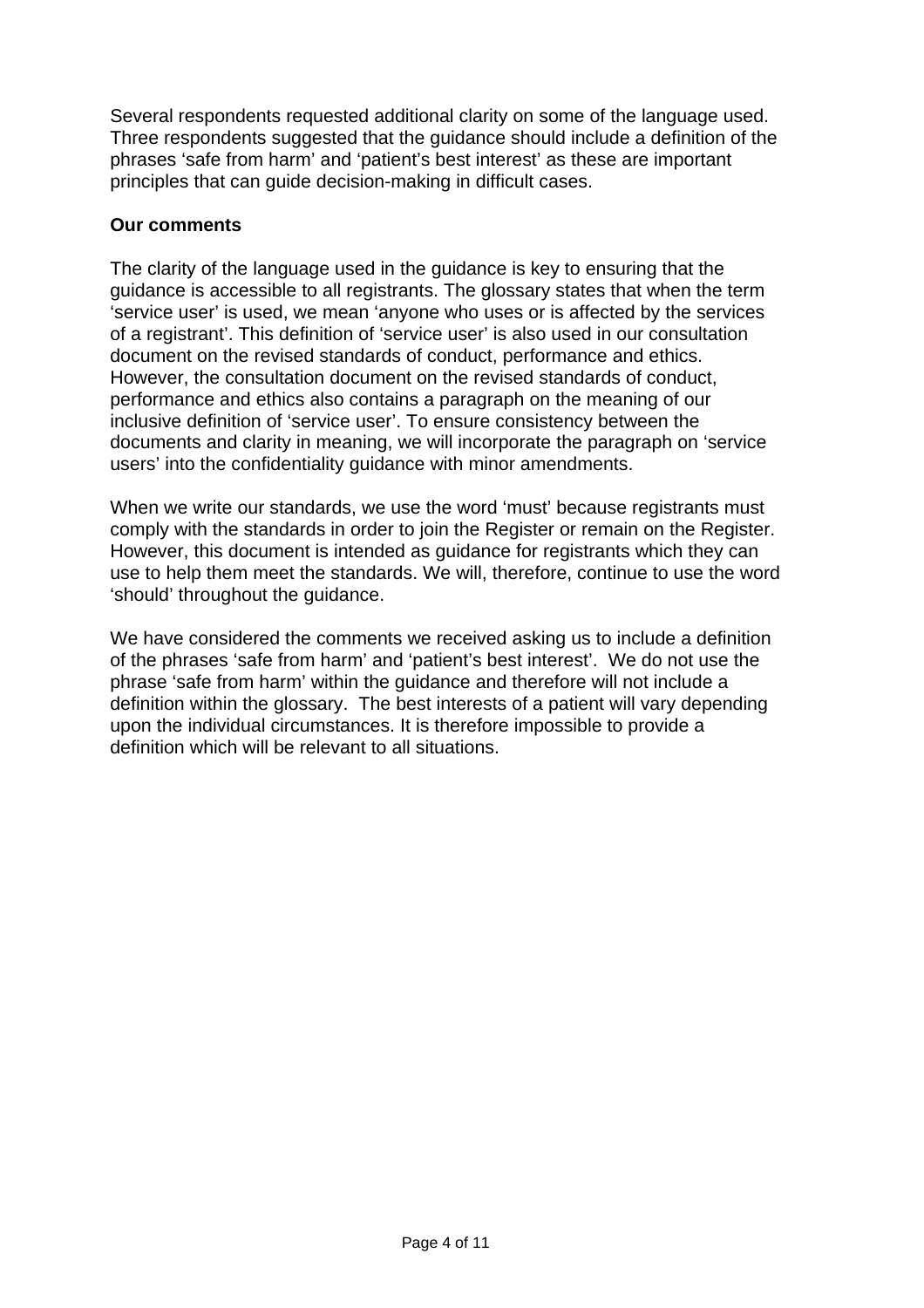Several respondents requested additional clarity on some of the language used. Three respondents suggested that the guidance should include a definition of the phrases 'safe from harm' and 'patient's best interest' as these are important principles that can guide decision-making in difficult cases.

## **Our comments**

The clarity of the language used in the guidance is key to ensuring that the guidance is accessible to all registrants. The glossary states that when the term 'service user' is used, we mean 'anyone who uses or is affected by the services of a registrant'. This definition of 'service user' is also used in our consultation document on the revised standards of conduct, performance and ethics. However, the consultation document on the revised standards of conduct, performance and ethics also contains a paragraph on the meaning of our inclusive definition of 'service user'. To ensure consistency between the documents and clarity in meaning, we will incorporate the paragraph on 'service users' into the confidentiality guidance with minor amendments.

When we write our standards, we use the word 'must' because registrants must comply with the standards in order to join the Register or remain on the Register. However, this document is intended as guidance for registrants which they can use to help them meet the standards. We will, therefore, continue to use the word 'should' throughout the guidance.

We have considered the comments we received asking us to include a definition of the phrases 'safe from harm' and 'patient's best interest'. We do not use the phrase 'safe from harm' within the guidance and therefore will not include a definition within the glossary. The best interests of a patient will vary depending upon the individual circumstances. It is therefore impossible to provide a definition which will be relevant to all situations.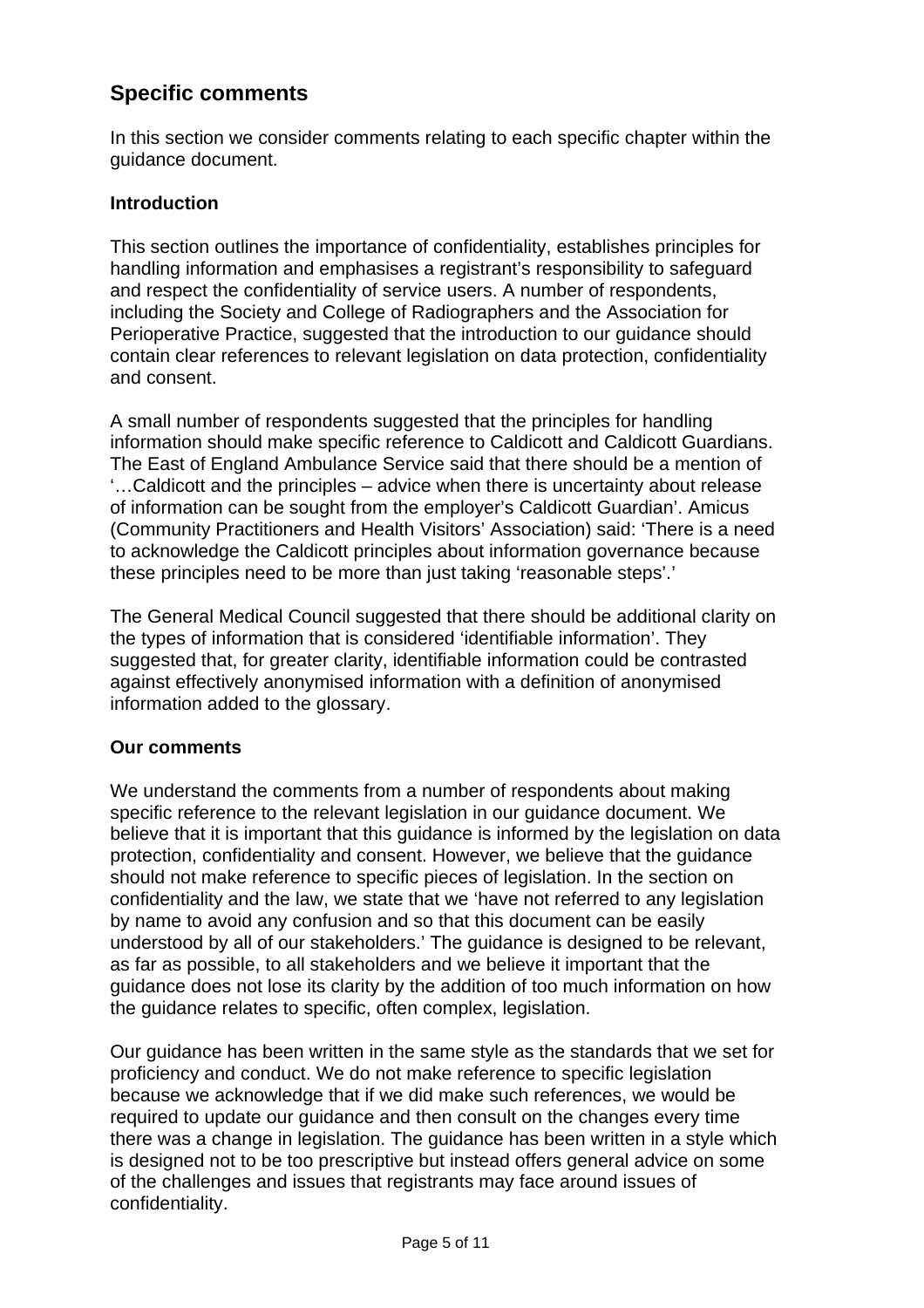# **Specific comments**

In this section we consider comments relating to each specific chapter within the guidance document.

## **Introduction**

This section outlines the importance of confidentiality, establishes principles for handling information and emphasises a registrant's responsibility to safeguard and respect the confidentiality of service users. A number of respondents, including the Society and College of Radiographers and the Association for Perioperative Practice, suggested that the introduction to our guidance should contain clear references to relevant legislation on data protection, confidentiality and consent.

A small number of respondents suggested that the principles for handling information should make specific reference to Caldicott and Caldicott Guardians. The East of England Ambulance Service said that there should be a mention of '…Caldicott and the principles – advice when there is uncertainty about release of information can be sought from the employer's Caldicott Guardian'. Amicus (Community Practitioners and Health Visitors' Association) said: 'There is a need to acknowledge the Caldicott principles about information governance because these principles need to be more than just taking 'reasonable steps'.'

The General Medical Council suggested that there should be additional clarity on the types of information that is considered 'identifiable information'. They suggested that, for greater clarity, identifiable information could be contrasted against effectively anonymised information with a definition of anonymised information added to the glossary.

## **Our comments**

We understand the comments from a number of respondents about making specific reference to the relevant legislation in our guidance document. We believe that it is important that this guidance is informed by the legislation on data protection, confidentiality and consent. However, we believe that the guidance should not make reference to specific pieces of legislation. In the section on confidentiality and the law, we state that we 'have not referred to any legislation by name to avoid any confusion and so that this document can be easily understood by all of our stakeholders.' The guidance is designed to be relevant, as far as possible, to all stakeholders and we believe it important that the guidance does not lose its clarity by the addition of too much information on how the guidance relates to specific, often complex, legislation.

Our guidance has been written in the same style as the standards that we set for proficiency and conduct. We do not make reference to specific legislation because we acknowledge that if we did make such references, we would be required to update our guidance and then consult on the changes every time there was a change in legislation. The guidance has been written in a style which is designed not to be too prescriptive but instead offers general advice on some of the challenges and issues that registrants may face around issues of confidentiality.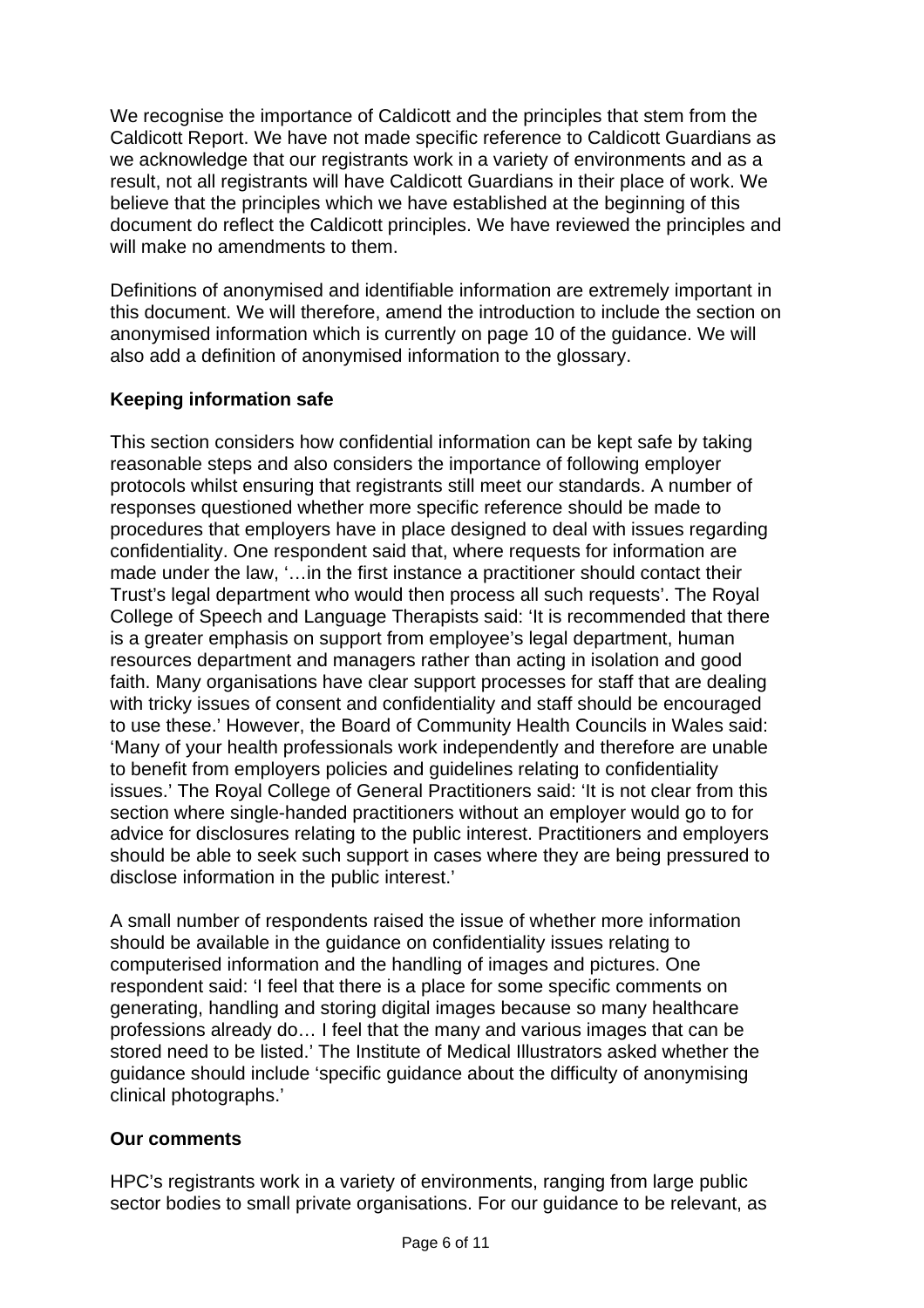We recognise the importance of Caldicott and the principles that stem from the Caldicott Report. We have not made specific reference to Caldicott Guardians as we acknowledge that our registrants work in a variety of environments and as a result, not all registrants will have Caldicott Guardians in their place of work. We believe that the principles which we have established at the beginning of this document do reflect the Caldicott principles. We have reviewed the principles and will make no amendments to them.

Definitions of anonymised and identifiable information are extremely important in this document. We will therefore, amend the introduction to include the section on anonymised information which is currently on page 10 of the guidance. We will also add a definition of anonymised information to the glossary.

## **Keeping information safe**

This section considers how confidential information can be kept safe by taking reasonable steps and also considers the importance of following employer protocols whilst ensuring that registrants still meet our standards. A number of responses questioned whether more specific reference should be made to procedures that employers have in place designed to deal with issues regarding confidentiality. One respondent said that, where requests for information are made under the law, '…in the first instance a practitioner should contact their Trust's legal department who would then process all such requests'. The Royal College of Speech and Language Therapists said: 'It is recommended that there is a greater emphasis on support from employee's legal department, human resources department and managers rather than acting in isolation and good faith. Many organisations have clear support processes for staff that are dealing with tricky issues of consent and confidentiality and staff should be encouraged to use these.' However, the Board of Community Health Councils in Wales said: 'Many of your health professionals work independently and therefore are unable to benefit from employers policies and guidelines relating to confidentiality issues.' The Royal College of General Practitioners said: 'It is not clear from this section where single-handed practitioners without an employer would go to for advice for disclosures relating to the public interest. Practitioners and employers should be able to seek such support in cases where they are being pressured to disclose information in the public interest.'

A small number of respondents raised the issue of whether more information should be available in the guidance on confidentiality issues relating to computerised information and the handling of images and pictures. One respondent said: 'I feel that there is a place for some specific comments on generating, handling and storing digital images because so many healthcare professions already do… I feel that the many and various images that can be stored need to be listed.' The Institute of Medical Illustrators asked whether the guidance should include 'specific guidance about the difficulty of anonymising clinical photographs.'

## **Our comments**

HPC's registrants work in a variety of environments, ranging from large public sector bodies to small private organisations. For our guidance to be relevant, as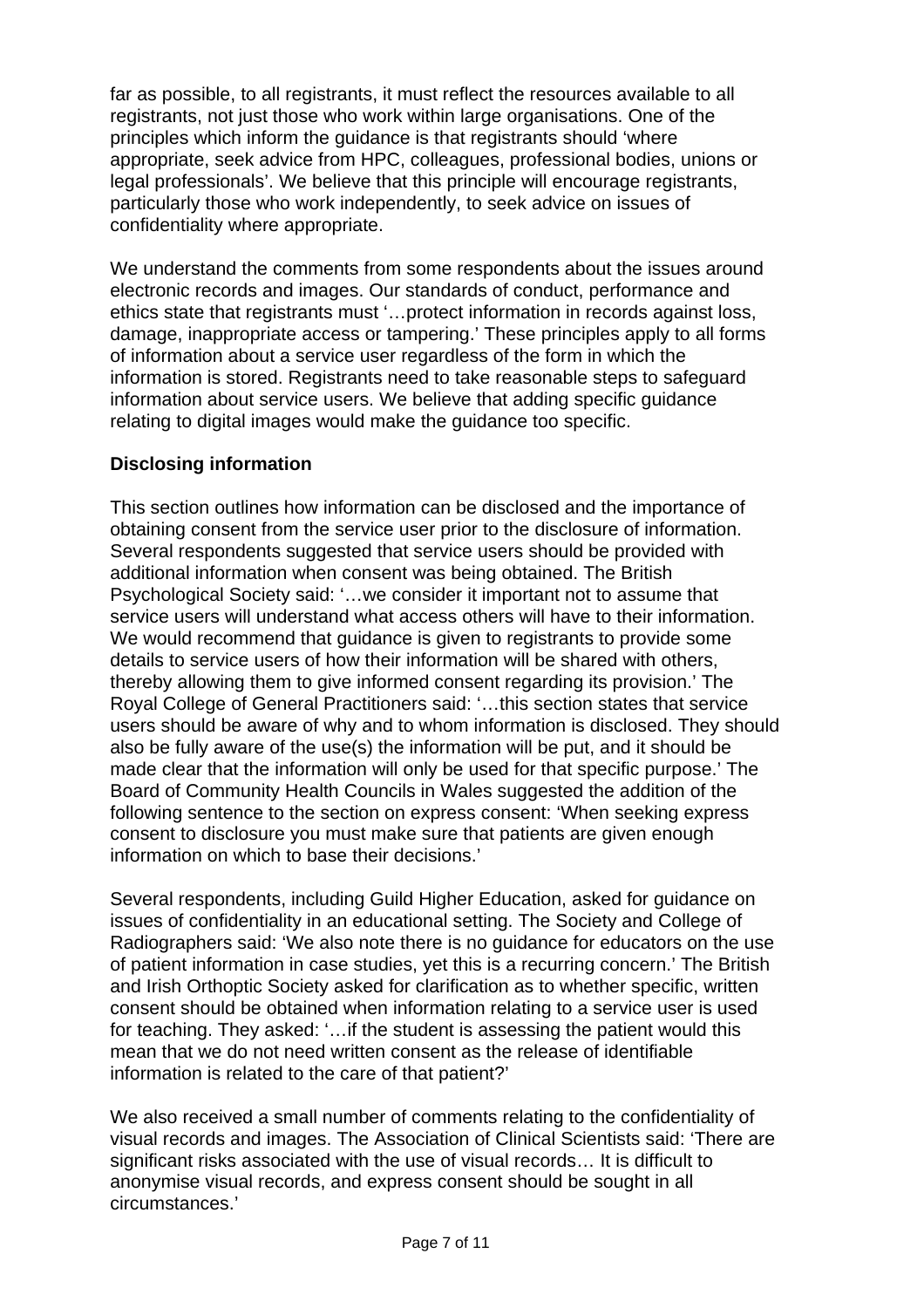far as possible, to all registrants, it must reflect the resources available to all registrants, not just those who work within large organisations. One of the principles which inform the guidance is that registrants should 'where appropriate, seek advice from HPC, colleagues, professional bodies, unions or legal professionals'. We believe that this principle will encourage registrants, particularly those who work independently, to seek advice on issues of confidentiality where appropriate.

We understand the comments from some respondents about the issues around electronic records and images. Our standards of conduct, performance and ethics state that registrants must '…protect information in records against loss, damage, inappropriate access or tampering.' These principles apply to all forms of information about a service user regardless of the form in which the information is stored. Registrants need to take reasonable steps to safeguard information about service users. We believe that adding specific guidance relating to digital images would make the guidance too specific.

## **Disclosing information**

This section outlines how information can be disclosed and the importance of obtaining consent from the service user prior to the disclosure of information. Several respondents suggested that service users should be provided with additional information when consent was being obtained. The British Psychological Society said: '…we consider it important not to assume that service users will understand what access others will have to their information. We would recommend that guidance is given to registrants to provide some details to service users of how their information will be shared with others, thereby allowing them to give informed consent regarding its provision.' The Royal College of General Practitioners said: '…this section states that service users should be aware of why and to whom information is disclosed. They should also be fully aware of the use(s) the information will be put, and it should be made clear that the information will only be used for that specific purpose.' The Board of Community Health Councils in Wales suggested the addition of the following sentence to the section on express consent: 'When seeking express consent to disclosure you must make sure that patients are given enough information on which to base their decisions.'

Several respondents, including Guild Higher Education, asked for guidance on issues of confidentiality in an educational setting. The Society and College of Radiographers said: 'We also note there is no guidance for educators on the use of patient information in case studies, yet this is a recurring concern.' The British and Irish Orthoptic Society asked for clarification as to whether specific, written consent should be obtained when information relating to a service user is used for teaching. They asked: '…if the student is assessing the patient would this mean that we do not need written consent as the release of identifiable information is related to the care of that patient?'

We also received a small number of comments relating to the confidentiality of visual records and images. The Association of Clinical Scientists said: 'There are significant risks associated with the use of visual records… It is difficult to anonymise visual records, and express consent should be sought in all circumstances.'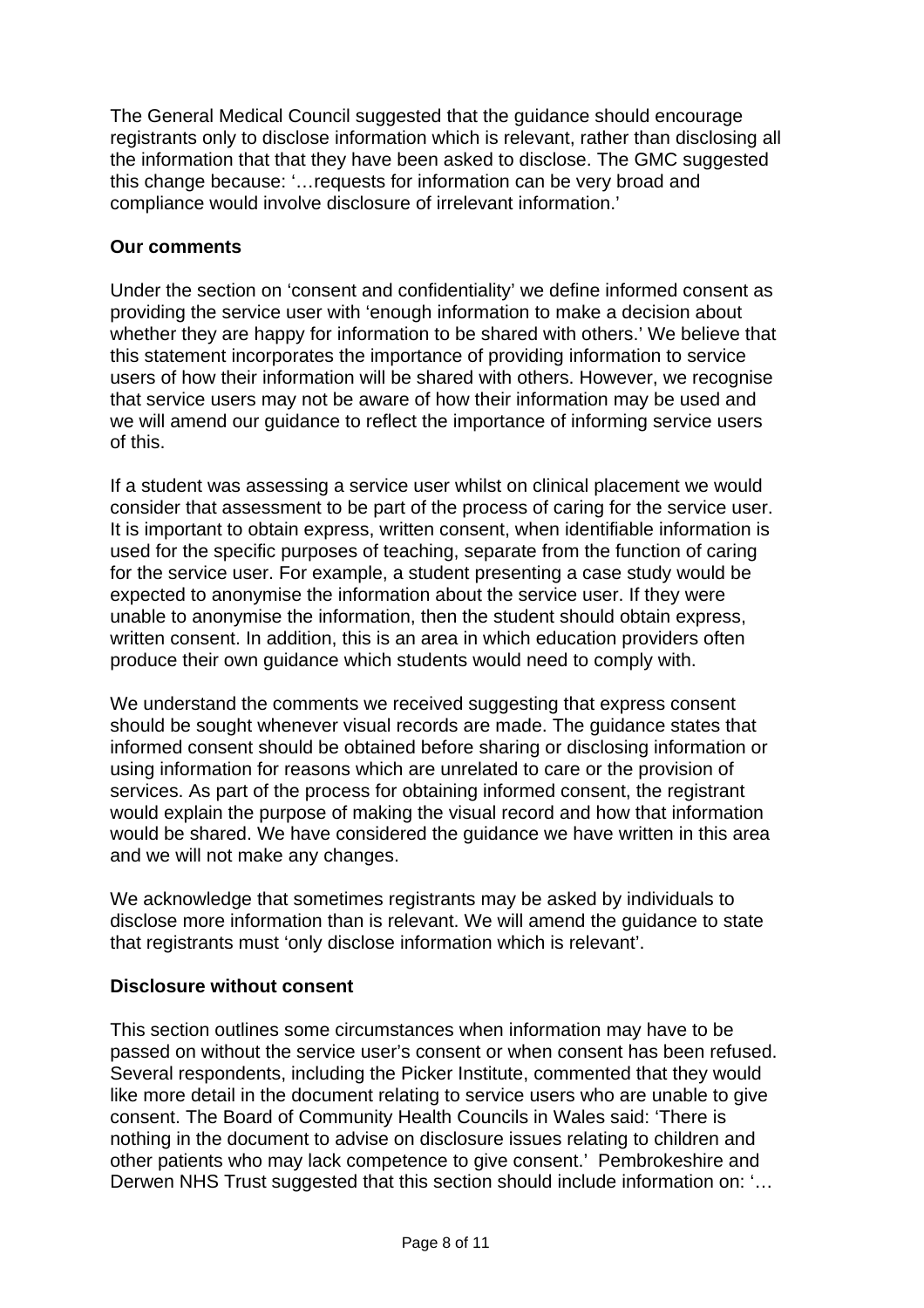The General Medical Council suggested that the guidance should encourage registrants only to disclose information which is relevant, rather than disclosing all the information that that they have been asked to disclose. The GMC suggested this change because: '... requests for information can be very broad and compliance would involve disclosure of irrelevant information.'

## **Our comments**

Under the section on 'consent and confidentiality' we define informed consent as providing the service user with 'enough information to make a decision about whether they are happy for information to be shared with others.' We believe that this statement incorporates the importance of providing information to service users of how their information will be shared with others. However, we recognise that service users may not be aware of how their information may be used and we will amend our guidance to reflect the importance of informing service users of this.

If a student was assessing a service user whilst on clinical placement we would consider that assessment to be part of the process of caring for the service user. It is important to obtain express, written consent, when identifiable information is used for the specific purposes of teaching, separate from the function of caring for the service user. For example, a student presenting a case study would be expected to anonymise the information about the service user. If they were unable to anonymise the information, then the student should obtain express, written consent. In addition, this is an area in which education providers often produce their own guidance which students would need to comply with.

We understand the comments we received suggesting that express consent should be sought whenever visual records are made. The guidance states that informed consent should be obtained before sharing or disclosing information or using information for reasons which are unrelated to care or the provision of services. As part of the process for obtaining informed consent, the registrant would explain the purpose of making the visual record and how that information would be shared. We have considered the guidance we have written in this area and we will not make any changes.

We acknowledge that sometimes registrants may be asked by individuals to disclose more information than is relevant. We will amend the guidance to state that registrants must 'only disclose information which is relevant'.

## **Disclosure without consent**

This section outlines some circumstances when information may have to be passed on without the service user's consent or when consent has been refused. Several respondents, including the Picker Institute, commented that they would like more detail in the document relating to service users who are unable to give consent. The Board of Community Health Councils in Wales said: 'There is nothing in the document to advise on disclosure issues relating to children and other patients who may lack competence to give consent.' Pembrokeshire and Derwen NHS Trust suggested that this section should include information on: '...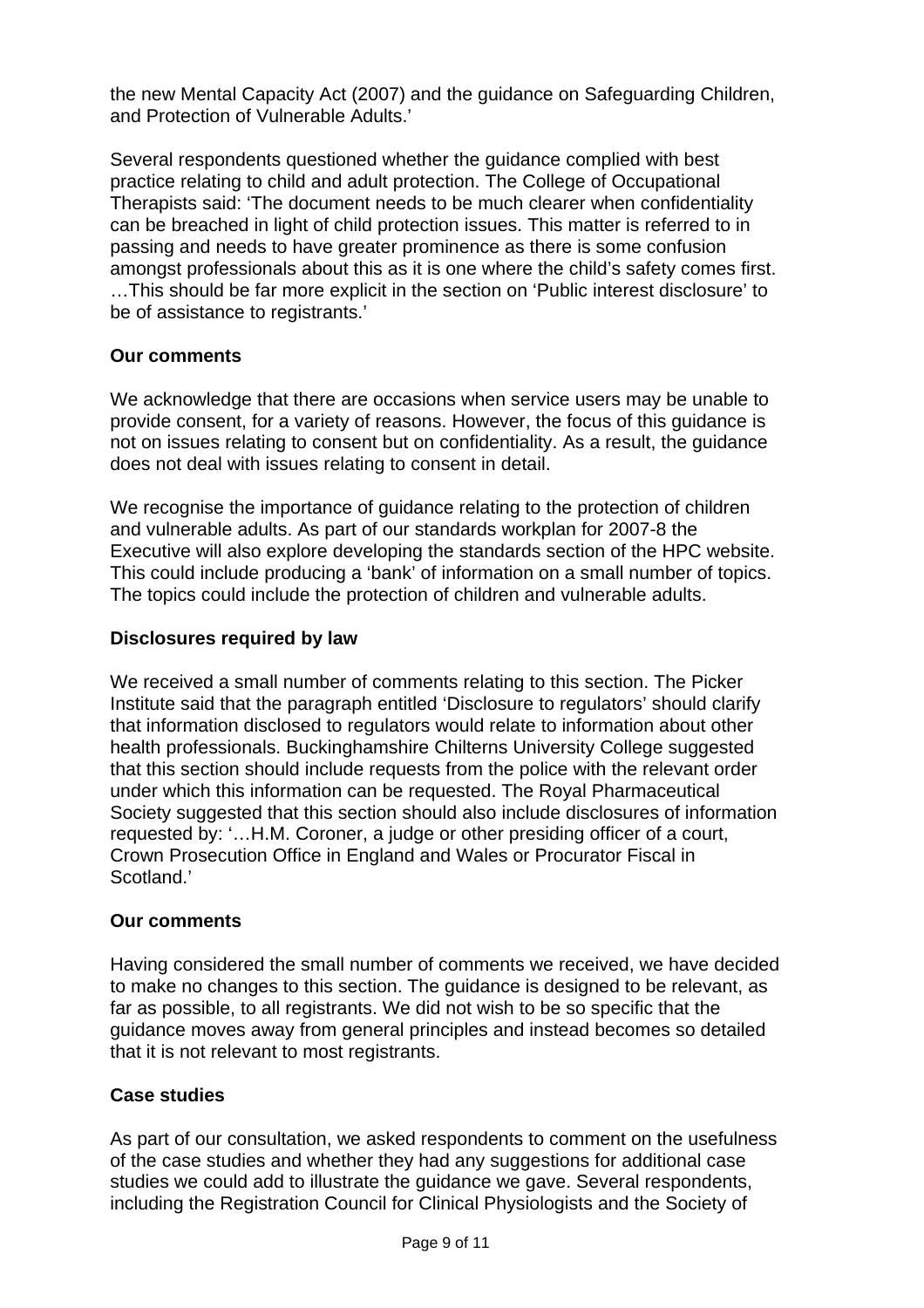the new Mental Capacity Act (2007) and the guidance on Safeguarding Children, and Protection of Vulnerable Adults.'

Several respondents questioned whether the guidance complied with best practice relating to child and adult protection. The College of Occupational Therapists said: 'The document needs to be much clearer when confidentiality can be breached in light of child protection issues. This matter is referred to in passing and needs to have greater prominence as there is some confusion amongst professionals about this as it is one where the child's safety comes first. …This should be far more explicit in the section on 'Public interest disclosure' to be of assistance to registrants.'

## **Our comments**

We acknowledge that there are occasions when service users may be unable to provide consent, for a variety of reasons. However, the focus of this guidance is not on issues relating to consent but on confidentiality. As a result, the guidance does not deal with issues relating to consent in detail.

We recognise the importance of guidance relating to the protection of children and vulnerable adults. As part of our standards workplan for 2007-8 the Executive will also explore developing the standards section of the HPC website. This could include producing a 'bank' of information on a small number of topics. The topics could include the protection of children and vulnerable adults.

## **Disclosures required by law**

We received a small number of comments relating to this section. The Picker Institute said that the paragraph entitled 'Disclosure to regulators' should clarify that information disclosed to regulators would relate to information about other health professionals. Buckinghamshire Chilterns University College suggested that this section should include requests from the police with the relevant order under which this information can be requested. The Royal Pharmaceutical Society suggested that this section should also include disclosures of information requested by: '…H.M. Coroner, a judge or other presiding officer of a court, Crown Prosecution Office in England and Wales or Procurator Fiscal in Scotland.'

## **Our comments**

Having considered the small number of comments we received, we have decided to make no changes to this section. The guidance is designed to be relevant, as far as possible, to all registrants. We did not wish to be so specific that the guidance moves away from general principles and instead becomes so detailed that it is not relevant to most registrants.

## **Case studies**

As part of our consultation, we asked respondents to comment on the usefulness of the case studies and whether they had any suggestions for additional case studies we could add to illustrate the guidance we gave. Several respondents, including the Registration Council for Clinical Physiologists and the Society of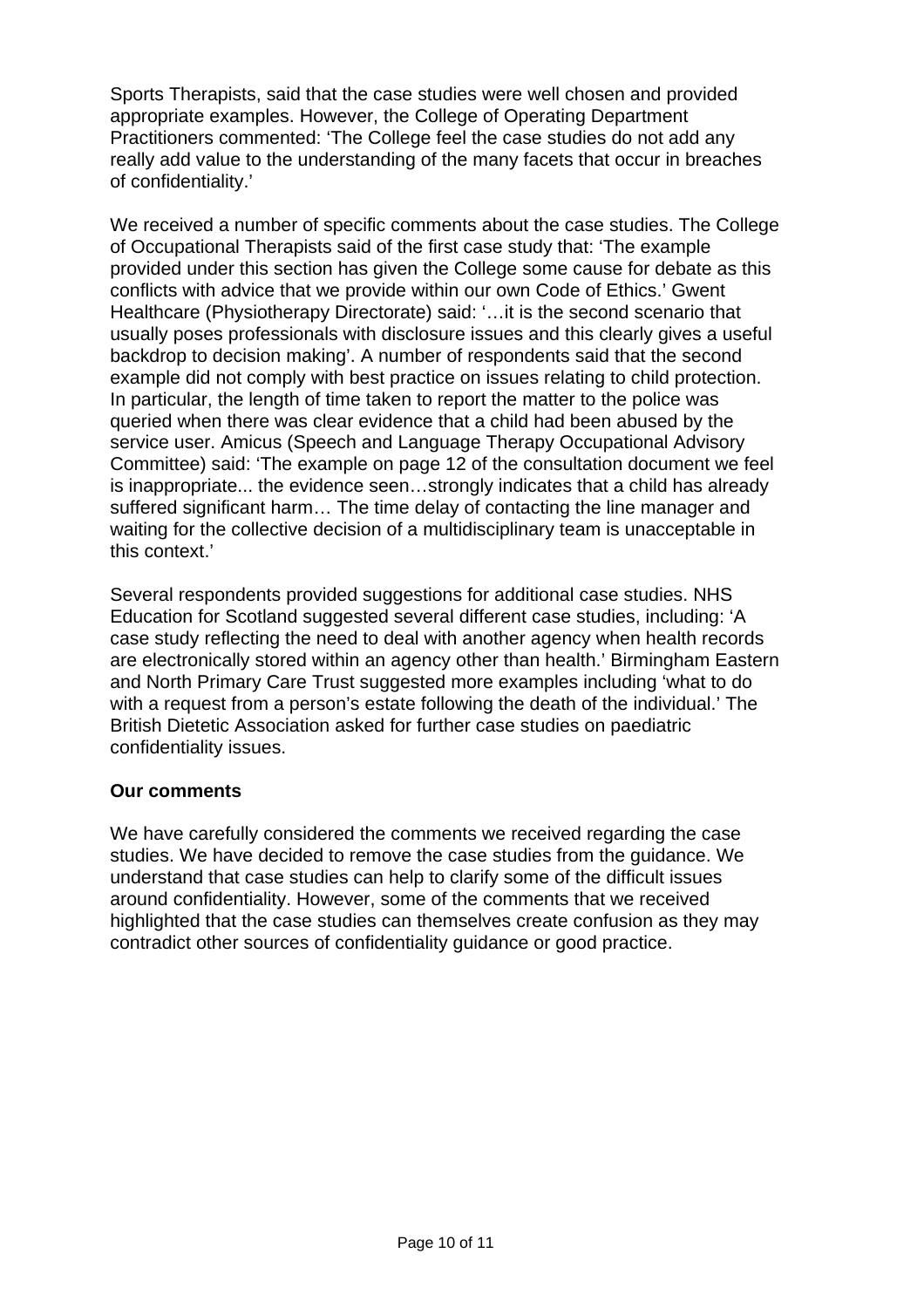Sports Therapists, said that the case studies were well chosen and provided appropriate examples. However, the College of Operating Department Practitioners commented: 'The College feel the case studies do not add any really add value to the understanding of the many facets that occur in breaches of confidentiality.'

We received a number of specific comments about the case studies. The College of Occupational Therapists said of the first case study that: 'The example provided under this section has given the College some cause for debate as this conflicts with advice that we provide within our own Code of Ethics.' Gwent Healthcare (Physiotherapy Directorate) said: '…it is the second scenario that usually poses professionals with disclosure issues and this clearly gives a useful backdrop to decision making'. A number of respondents said that the second example did not comply with best practice on issues relating to child protection. In particular, the length of time taken to report the matter to the police was queried when there was clear evidence that a child had been abused by the service user. Amicus (Speech and Language Therapy Occupational Advisory Committee) said: 'The example on page 12 of the consultation document we feel is inappropriate... the evidence seen…strongly indicates that a child has already suffered significant harm… The time delay of contacting the line manager and waiting for the collective decision of a multidisciplinary team is unacceptable in this context.'

Several respondents provided suggestions for additional case studies. NHS Education for Scotland suggested several different case studies, including: 'A case study reflecting the need to deal with another agency when health records are electronically stored within an agency other than health.' Birmingham Eastern and North Primary Care Trust suggested more examples including 'what to do with a request from a person's estate following the death of the individual.' The British Dietetic Association asked for further case studies on paediatric confidentiality issues.

## **Our comments**

We have carefully considered the comments we received regarding the case studies. We have decided to remove the case studies from the guidance. We understand that case studies can help to clarify some of the difficult issues around confidentiality. However, some of the comments that we received highlighted that the case studies can themselves create confusion as they may contradict other sources of confidentiality guidance or good practice.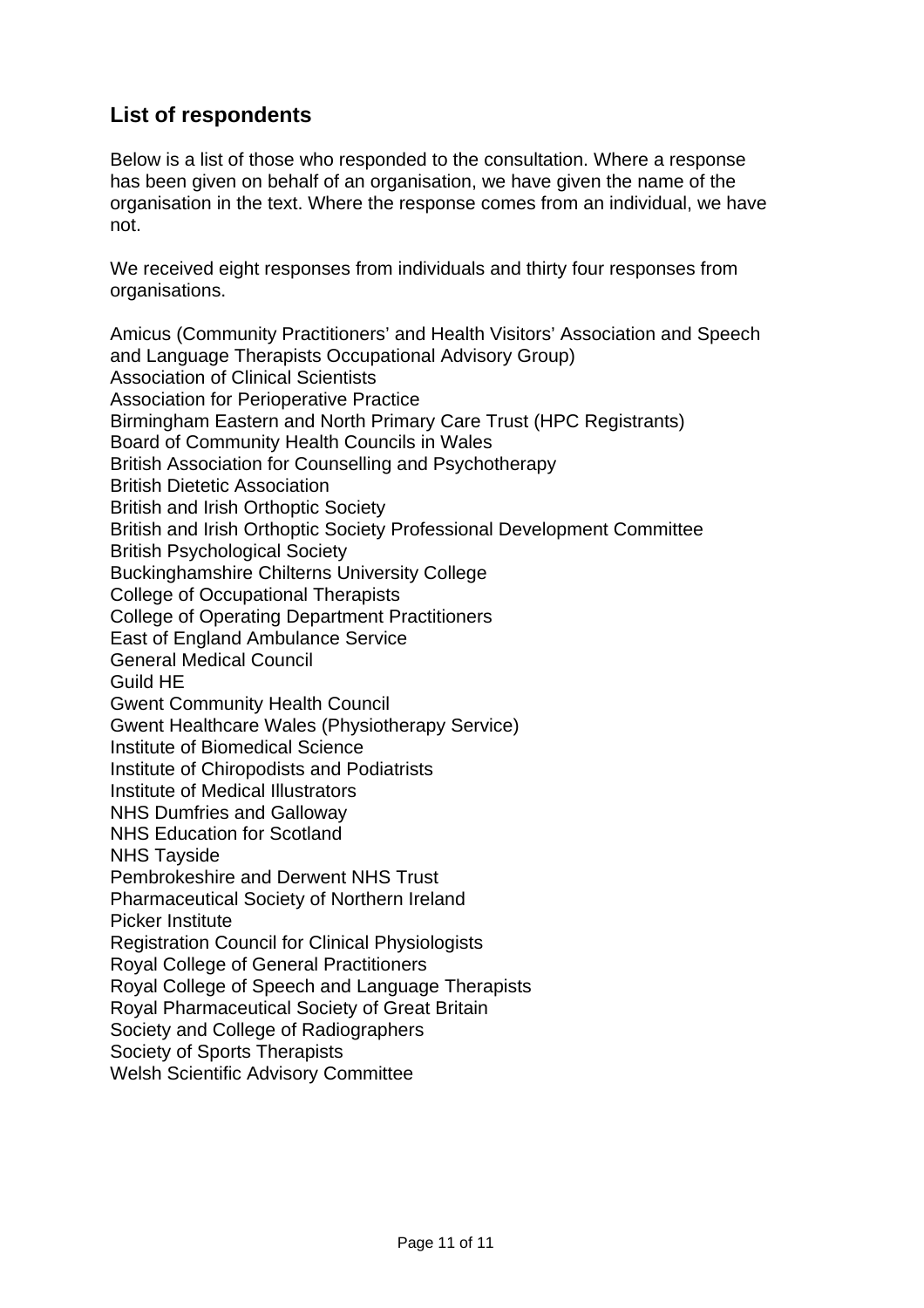# **List of respondents**

Below is a list of those who responded to the consultation. Where a response has been given on behalf of an organisation, we have given the name of the organisation in the text. Where the response comes from an individual, we have not.

We received eight responses from individuals and thirty four responses from organisations.

Amicus (Community Practitioners' and Health Visitors' Association and Speech and Language Therapists Occupational Advisory Group) Association of Clinical Scientists Association for Perioperative Practice Birmingham Eastern and North Primary Care Trust (HPC Registrants) Board of Community Health Councils in Wales British Association for Counselling and Psychotherapy British Dietetic Association British and Irish Orthoptic Society British and Irish Orthoptic Society Professional Development Committee British Psychological Society Buckinghamshire Chilterns University College College of Occupational Therapists College of Operating Department Practitioners East of England Ambulance Service General Medical Council Guild HE Gwent Community Health Council Gwent Healthcare Wales (Physiotherapy Service) Institute of Biomedical Science Institute of Chiropodists and Podiatrists Institute of Medical Illustrators NHS Dumfries and Galloway NHS Education for Scotland NHS Tayside Pembrokeshire and Derwent NHS Trust Pharmaceutical Society of Northern Ireland Picker Institute Registration Council for Clinical Physiologists Royal College of General Practitioners Royal College of Speech and Language Therapists Royal Pharmaceutical Society of Great Britain Society and College of Radiographers Society of Sports Therapists Welsh Scientific Advisory Committee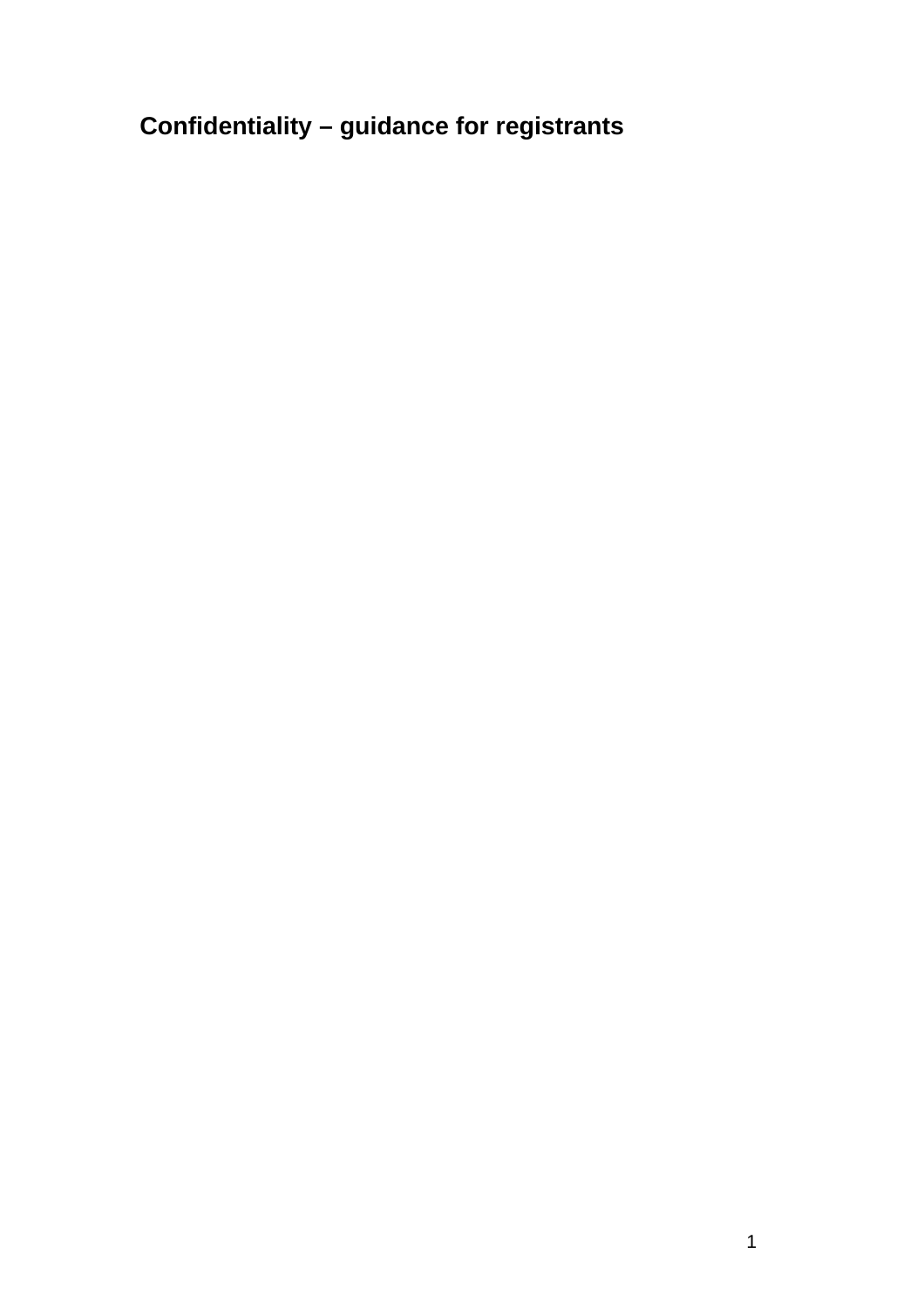**Confidentiality – guidance for registrants**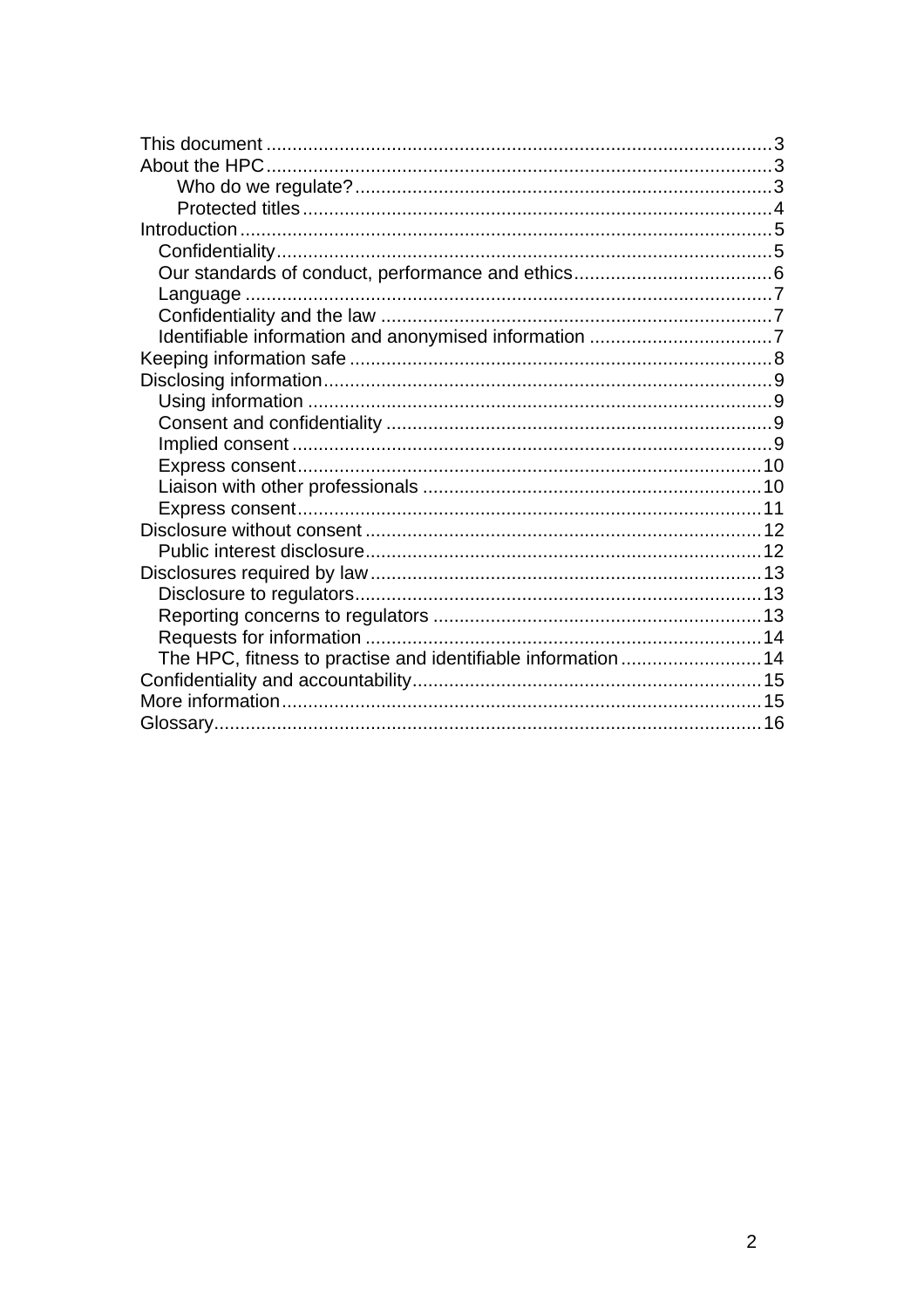| The HPC, fitness to practise and identifiable information 14 |  |
|--------------------------------------------------------------|--|
|                                                              |  |
|                                                              |  |
|                                                              |  |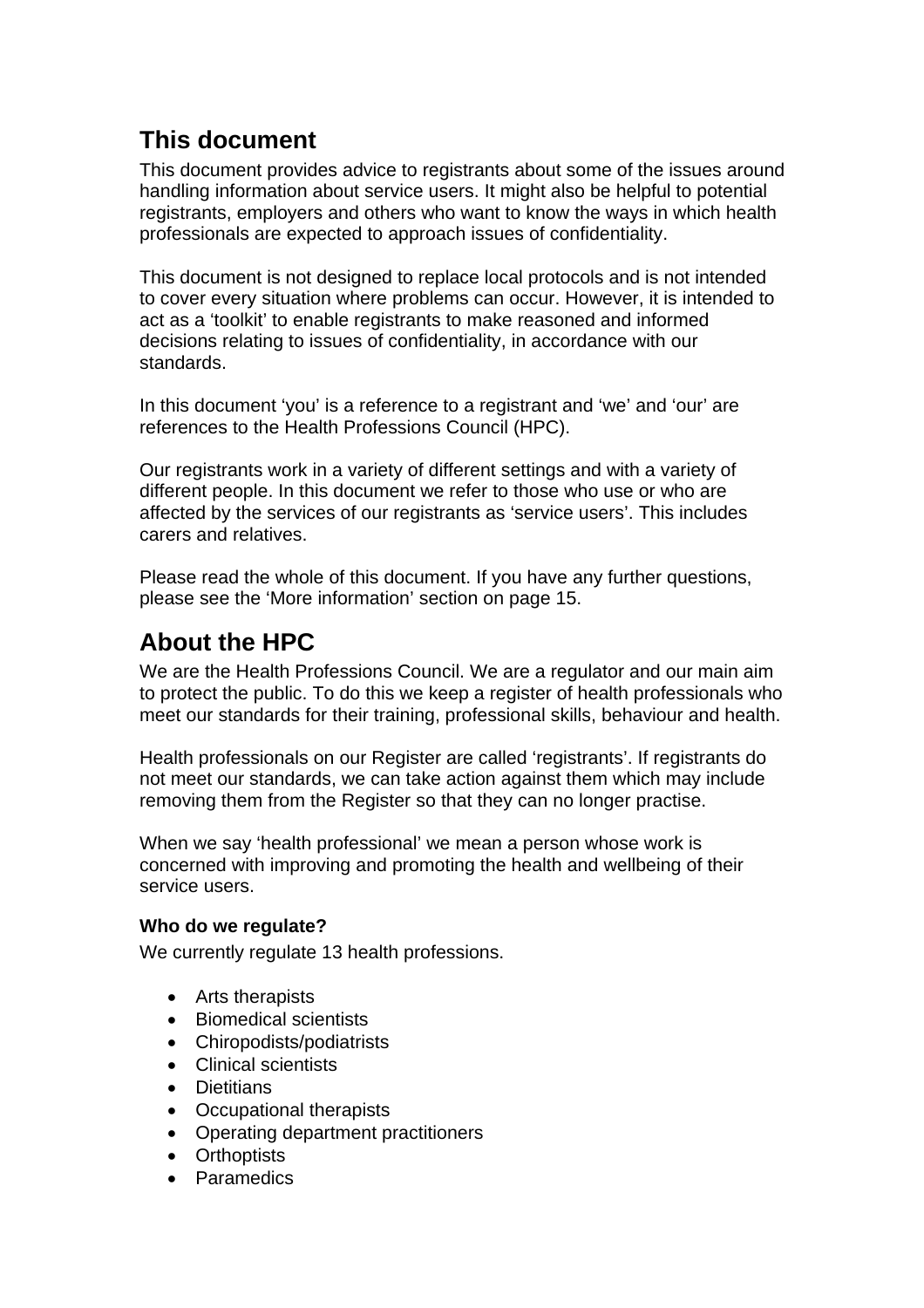# **This document**

This document provides advice to registrants about some of the issues around handling information about service users. It might also be helpful to potential registrants, employers and others who want to know the ways in which health professionals are expected to approach issues of confidentiality.

This document is not designed to replace local protocols and is not intended to cover every situation where problems can occur. However, it is intended to act as a 'toolkit' to enable registrants to make reasoned and informed decisions relating to issues of confidentiality, in accordance with our standards.

In this document 'you' is a reference to a registrant and 'we' and 'our' are references to the Health Professions Council (HPC).

Our registrants work in a variety of different settings and with a variety of different people. In this document we refer to those who use or who are affected by the services of our registrants as 'service users'. This includes carers and relatives.

Please read the whole of this document. If you have any further questions, please see the 'More information' section on page 15.

# **About the HPC**

We are the Health Professions Council. We are a regulator and our main aim to protect the public. To do this we keep a register of health professionals who meet our standards for their training, professional skills, behaviour and health.

Health professionals on our Register are called 'registrants'. If registrants do not meet our standards, we can take action against them which may include removing them from the Register so that they can no longer practise.

When we say 'health professional' we mean a person whose work is concerned with improving and promoting the health and wellbeing of their service users.

## **Who do we regulate?**

We currently regulate 13 health professions.

- Arts therapists
- Biomedical scientists
- Chiropodists/podiatrists
- Clinical scientists
- Dietitians
- Occupational therapists
- Operating department practitioners
- Orthoptists
- Paramedics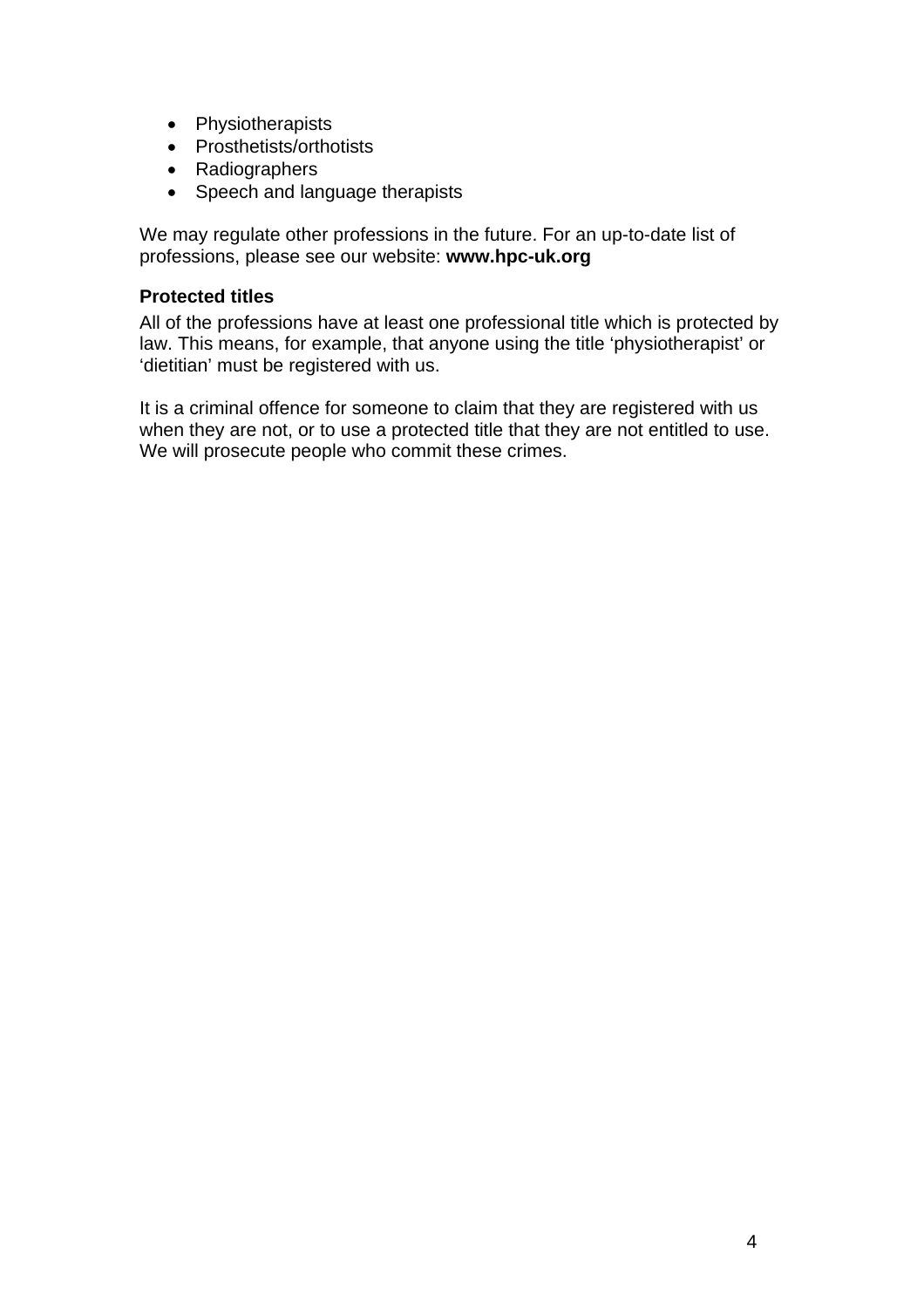- Physiotherapists
- Prosthetists/orthotists
- Radiographers
- Speech and language therapists

We may regulate other professions in the future. For an up-to-date list of professions, please see our website: **www.hpc-uk.org**

## **Protected titles**

All of the professions have at least one professional title which is protected by law. This means, for example, that anyone using the title 'physiotherapist' or 'dietitian' must be registered with us.

It is a criminal offence for someone to claim that they are registered with us when they are not, or to use a protected title that they are not entitled to use. We will prosecute people who commit these crimes.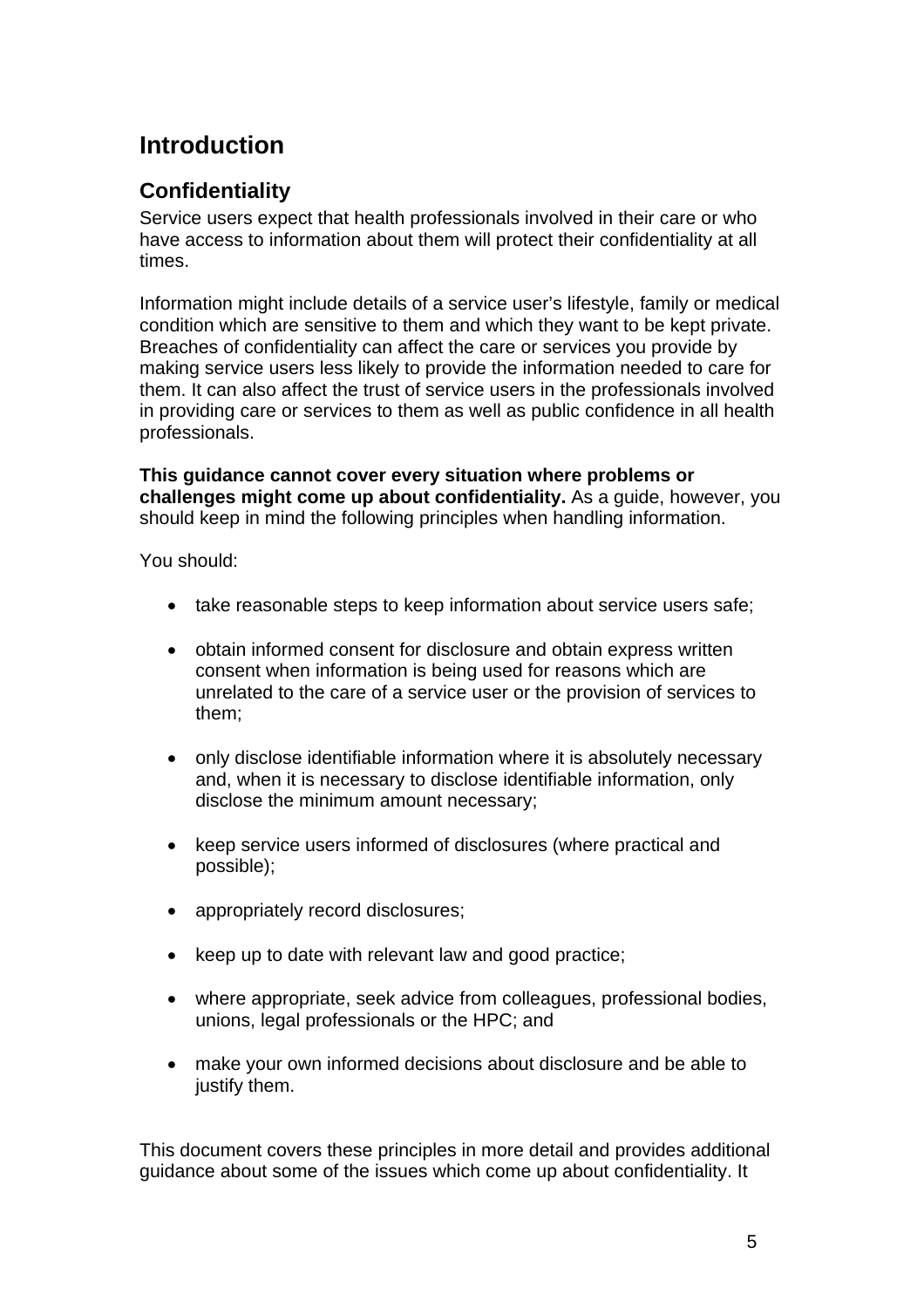# **Introduction**

# **Confidentiality**

Service users expect that health professionals involved in their care or who have access to information about them will protect their confidentiality at all times.

Information might include details of a service user's lifestyle, family or medical condition which are sensitive to them and which they want to be kept private. Breaches of confidentiality can affect the care or services you provide by making service users less likely to provide the information needed to care for them. It can also affect the trust of service users in the professionals involved in providing care or services to them as well as public confidence in all health professionals.

**This guidance cannot cover every situation where problems or challenges might come up about confidentiality.** As a guide, however, you should keep in mind the following principles when handling information.

You should:

- take reasonable steps to keep information about service users safe;
- obtain informed consent for disclosure and obtain express written consent when information is being used for reasons which are unrelated to the care of a service user or the provision of services to them;
- only disclose identifiable information where it is absolutely necessary and, when it is necessary to disclose identifiable information, only disclose the minimum amount necessary;
- keep service users informed of disclosures (where practical and possible);
- appropriately record disclosures;
- keep up to date with relevant law and good practice;
- where appropriate, seek advice from colleagues, professional bodies, unions, legal professionals or the HPC; and
- make your own informed decisions about disclosure and be able to justify them.

This document covers these principles in more detail and provides additional guidance about some of the issues which come up about confidentiality. It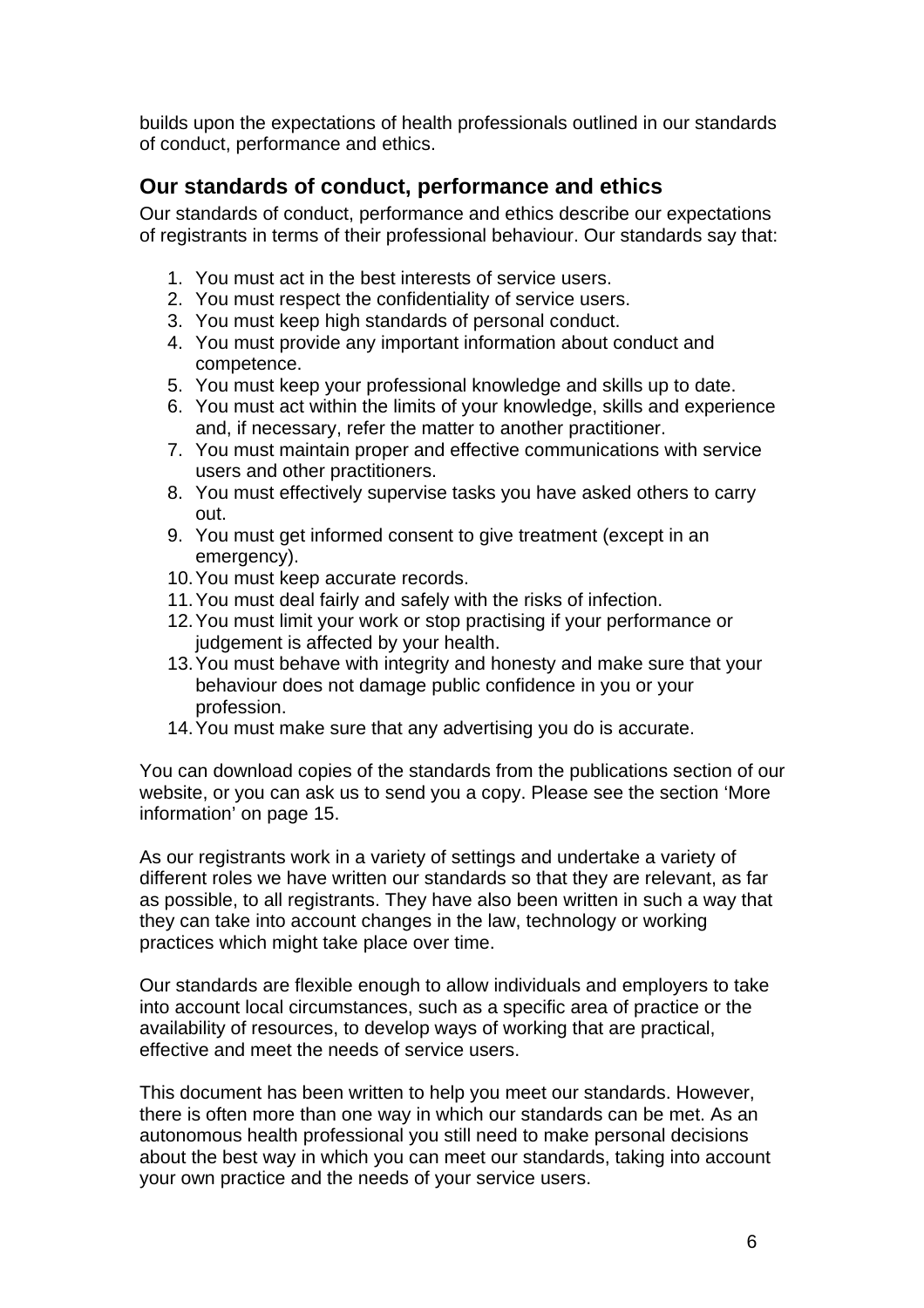builds upon the expectations of health professionals outlined in our standards of conduct, performance and ethics.

## **Our standards of conduct, performance and ethics**

Our standards of conduct, performance and ethics describe our expectations of registrants in terms of their professional behaviour. Our standards say that:

- 1. You must act in the best interests of service users.
- 2. You must respect the confidentiality of service users.
- 3. You must keep high standards of personal conduct.
- 4. You must provide any important information about conduct and competence.
- 5. You must keep your professional knowledge and skills up to date.
- 6. You must act within the limits of your knowledge, skills and experience and, if necessary, refer the matter to another practitioner.
- 7. You must maintain proper and effective communications with service users and other practitioners.
- 8. You must effectively supervise tasks you have asked others to carry out.
- 9. You must get informed consent to give treatment (except in an emergency).
- 10. You must keep accurate records.
- 11. You must deal fairly and safely with the risks of infection.
- 12. You must limit your work or stop practising if your performance or judgement is affected by your health.
- 13. You must behave with integrity and honesty and make sure that your behaviour does not damage public confidence in you or your profession.
- 14. You must make sure that any advertising you do is accurate.

You can download copies of the standards from the publications section of our website, or you can ask us to send you a copy. Please see the section 'More information' on page 15.

As our registrants work in a variety of settings and undertake a variety of different roles we have written our standards so that they are relevant, as far as possible, to all registrants. They have also been written in such a way that they can take into account changes in the law, technology or working practices which might take place over time.

Our standards are flexible enough to allow individuals and employers to take into account local circumstances, such as a specific area of practice or the availability of resources, to develop ways of working that are practical, effective and meet the needs of service users.

This document has been written to help you meet our standards. However, there is often more than one way in which our standards can be met. As an autonomous health professional you still need to make personal decisions about the best way in which you can meet our standards, taking into account your own practice and the needs of your service users.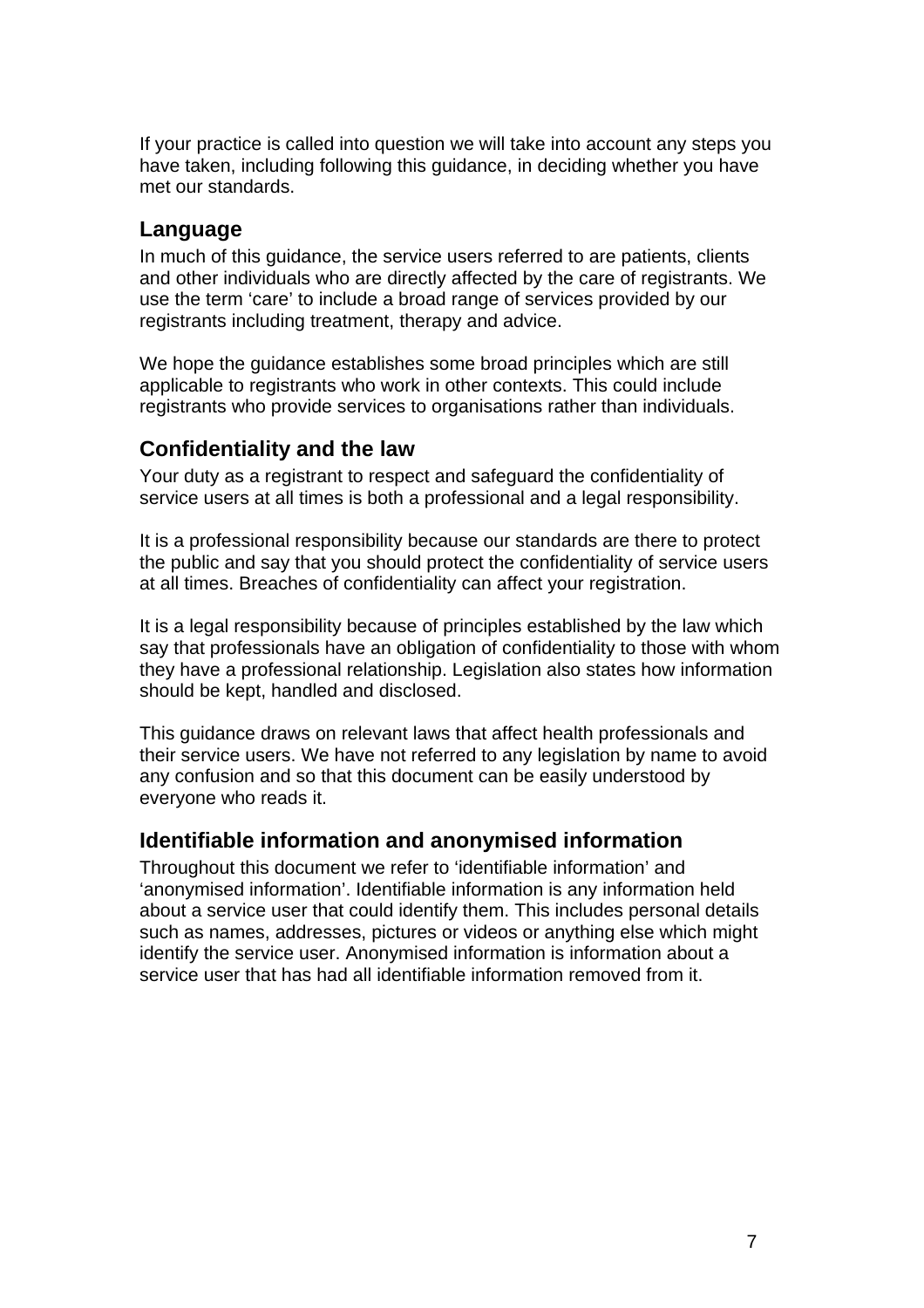If your practice is called into question we will take into account any steps you have taken, including following this guidance, in deciding whether you have met our standards.

## **Language**

In much of this guidance, the service users referred to are patients, clients and other individuals who are directly affected by the care of registrants. We use the term 'care' to include a broad range of services provided by our registrants including treatment, therapy and advice.

We hope the guidance establishes some broad principles which are still applicable to registrants who work in other contexts. This could include registrants who provide services to organisations rather than individuals.

## **Confidentiality and the law**

Your duty as a registrant to respect and safeguard the confidentiality of service users at all times is both a professional and a legal responsibility.

It is a professional responsibility because our standards are there to protect the public and say that you should protect the confidentiality of service users at all times. Breaches of confidentiality can affect your registration.

It is a legal responsibility because of principles established by the law which say that professionals have an obligation of confidentiality to those with whom they have a professional relationship. Legislation also states how information should be kept, handled and disclosed.

This guidance draws on relevant laws that affect health professionals and their service users. We have not referred to any legislation by name to avoid any confusion and so that this document can be easily understood by everyone who reads it.

## **Identifiable information and anonymised information**

Throughout this document we refer to 'identifiable information' and 'anonymised information'. Identifiable information is any information held about a service user that could identify them. This includes personal details such as names, addresses, pictures or videos or anything else which might identify the service user. Anonymised information is information about a service user that has had all identifiable information removed from it.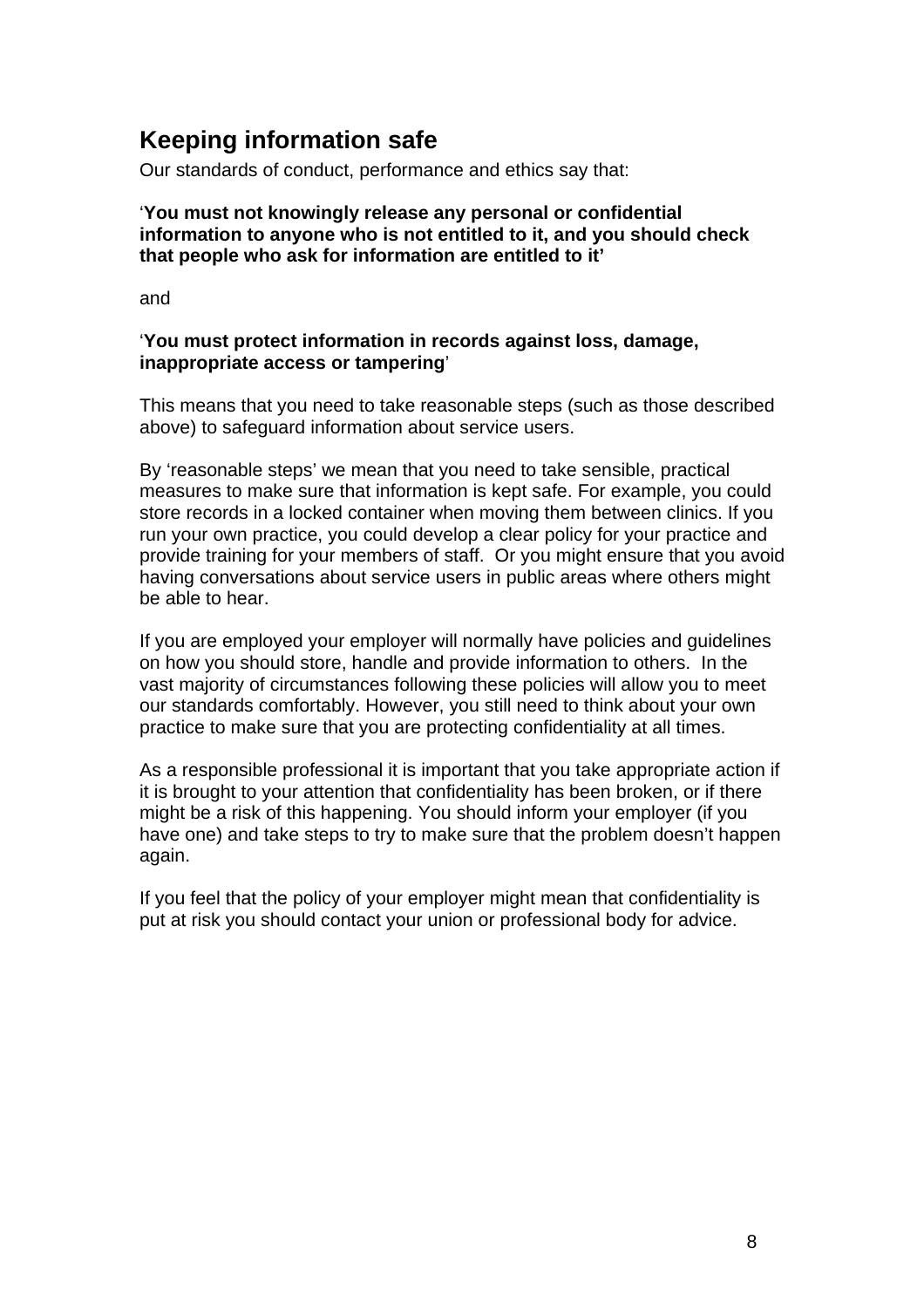# **Keeping information safe**

Our standards of conduct, performance and ethics say that:

## '**You must not knowingly release any personal or confidential information to anyone who is not entitled to it, and you should check that people who ask for information are entitled to it'**

and

## '**You must protect information in records against loss, damage, inappropriate access or tampering**'

This means that you need to take reasonable steps (such as those described above) to safeguard information about service users.

By 'reasonable steps' we mean that you need to take sensible, practical measures to make sure that information is kept safe. For example, you could store records in a locked container when moving them between clinics. If you run your own practice, you could develop a clear policy for your practice and provide training for your members of staff. Or you might ensure that you avoid having conversations about service users in public areas where others might be able to hear.

If you are employed your employer will normally have policies and guidelines on how you should store, handle and provide information to others. In the vast majority of circumstances following these policies will allow you to meet our standards comfortably. However, you still need to think about your own practice to make sure that you are protecting confidentiality at all times.

As a responsible professional it is important that you take appropriate action if it is brought to your attention that confidentiality has been broken, or if there might be a risk of this happening. You should inform your employer (if you have one) and take steps to try to make sure that the problem doesn't happen again.

If you feel that the policy of your employer might mean that confidentiality is put at risk you should contact your union or professional body for advice.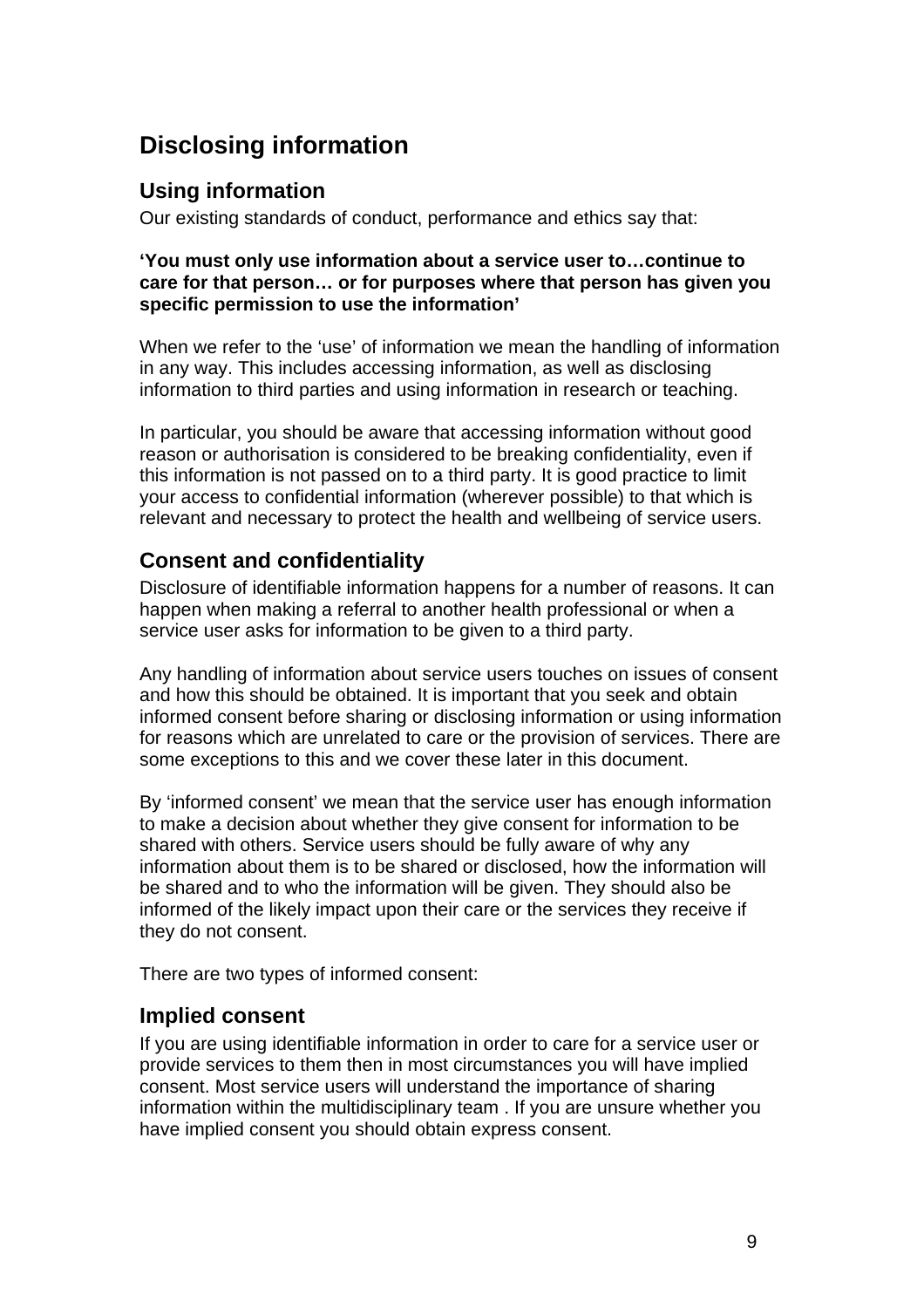# **Disclosing information**

## **Using information**

Our existing standards of conduct, performance and ethics say that:

## **'You must only use information about a service user to…continue to care for that person… or for purposes where that person has given you specific permission to use the information'**

When we refer to the 'use' of information we mean the handling of information in any way. This includes accessing information, as well as disclosing information to third parties and using information in research or teaching.

In particular, you should be aware that accessing information without good reason or authorisation is considered to be breaking confidentiality, even if this information is not passed on to a third party. It is good practice to limit your access to confidential information (wherever possible) to that which is relevant and necessary to protect the health and wellbeing of service users.

# **Consent and confidentiality**

Disclosure of identifiable information happens for a number of reasons. It can happen when making a referral to another health professional or when a service user asks for information to be given to a third party.

Any handling of information about service users touches on issues of consent and how this should be obtained. It is important that you seek and obtain informed consent before sharing or disclosing information or using information for reasons which are unrelated to care or the provision of services. There are some exceptions to this and we cover these later in this document.

By 'informed consent' we mean that the service user has enough information to make a decision about whether they give consent for information to be shared with others. Service users should be fully aware of why any information about them is to be shared or disclosed, how the information will be shared and to who the information will be given. They should also be informed of the likely impact upon their care or the services they receive if they do not consent.

There are two types of informed consent:

# **Implied consent**

If you are using identifiable information in order to care for a service user or provide services to them then in most circumstances you will have implied consent. Most service users will understand the importance of sharing information within the multidisciplinary team . If you are unsure whether you have implied consent you should obtain express consent.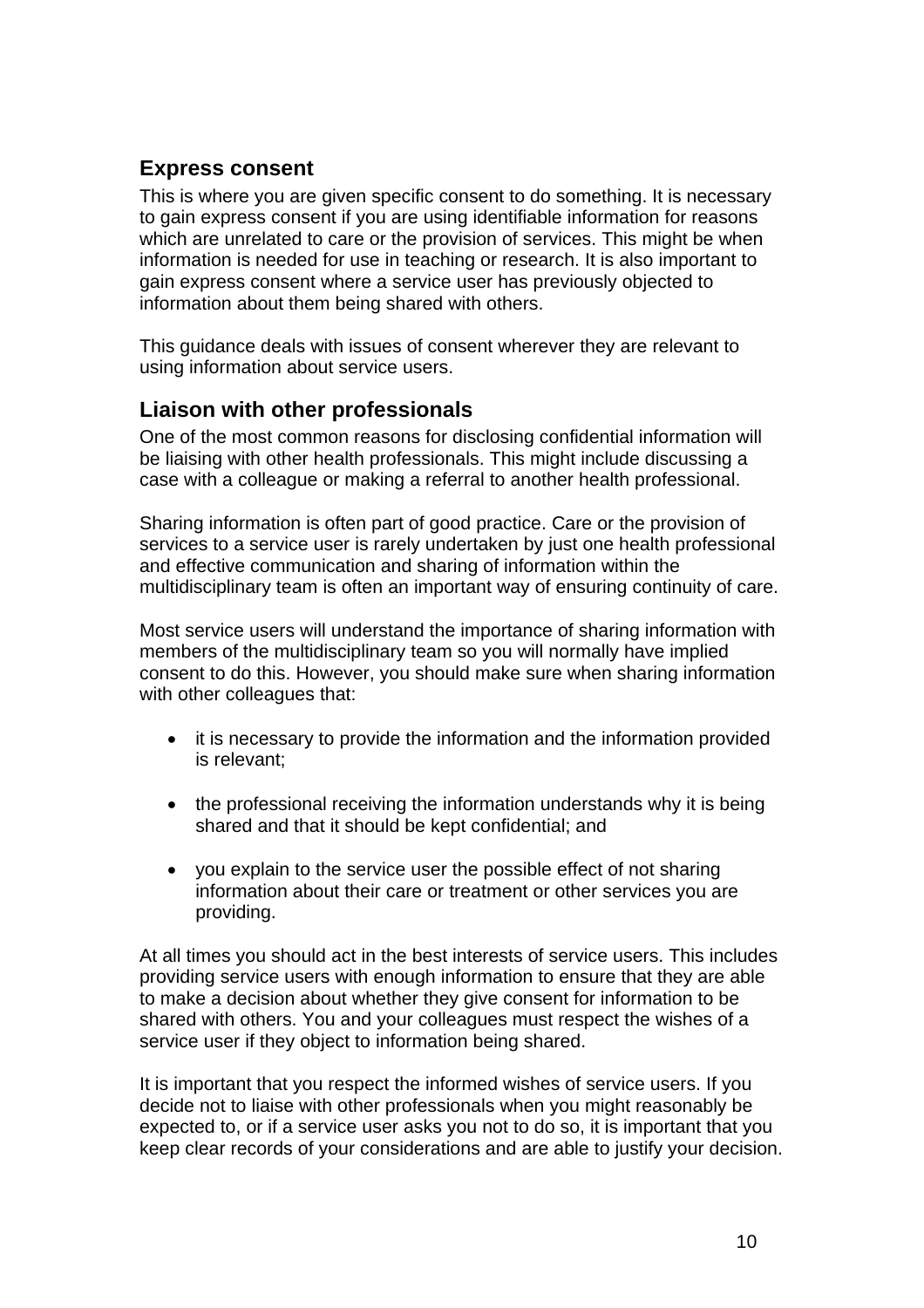# **Express consent**

This is where you are given specific consent to do something. It is necessary to gain express consent if you are using identifiable information for reasons which are unrelated to care or the provision of services. This might be when information is needed for use in teaching or research. It is also important to gain express consent where a service user has previously objected to information about them being shared with others.

This guidance deals with issues of consent wherever they are relevant to using information about service users.

## **Liaison with other professionals**

One of the most common reasons for disclosing confidential information will be liaising with other health professionals. This might include discussing a case with a colleague or making a referral to another health professional.

Sharing information is often part of good practice. Care or the provision of services to a service user is rarely undertaken by just one health professional and effective communication and sharing of information within the multidisciplinary team is often an important way of ensuring continuity of care.

Most service users will understand the importance of sharing information with members of the multidisciplinary team so you will normally have implied consent to do this. However, you should make sure when sharing information with other colleagues that:

- it is necessary to provide the information and the information provided is relevant;
- the professional receiving the information understands why it is being shared and that it should be kept confidential; and
- you explain to the service user the possible effect of not sharing information about their care or treatment or other services you are providing.

At all times you should act in the best interests of service users. This includes providing service users with enough information to ensure that they are able to make a decision about whether they give consent for information to be shared with others. You and your colleagues must respect the wishes of a service user if they object to information being shared.

It is important that you respect the informed wishes of service users. If you decide not to liaise with other professionals when you might reasonably be expected to, or if a service user asks you not to do so, it is important that you keep clear records of your considerations and are able to justify your decision.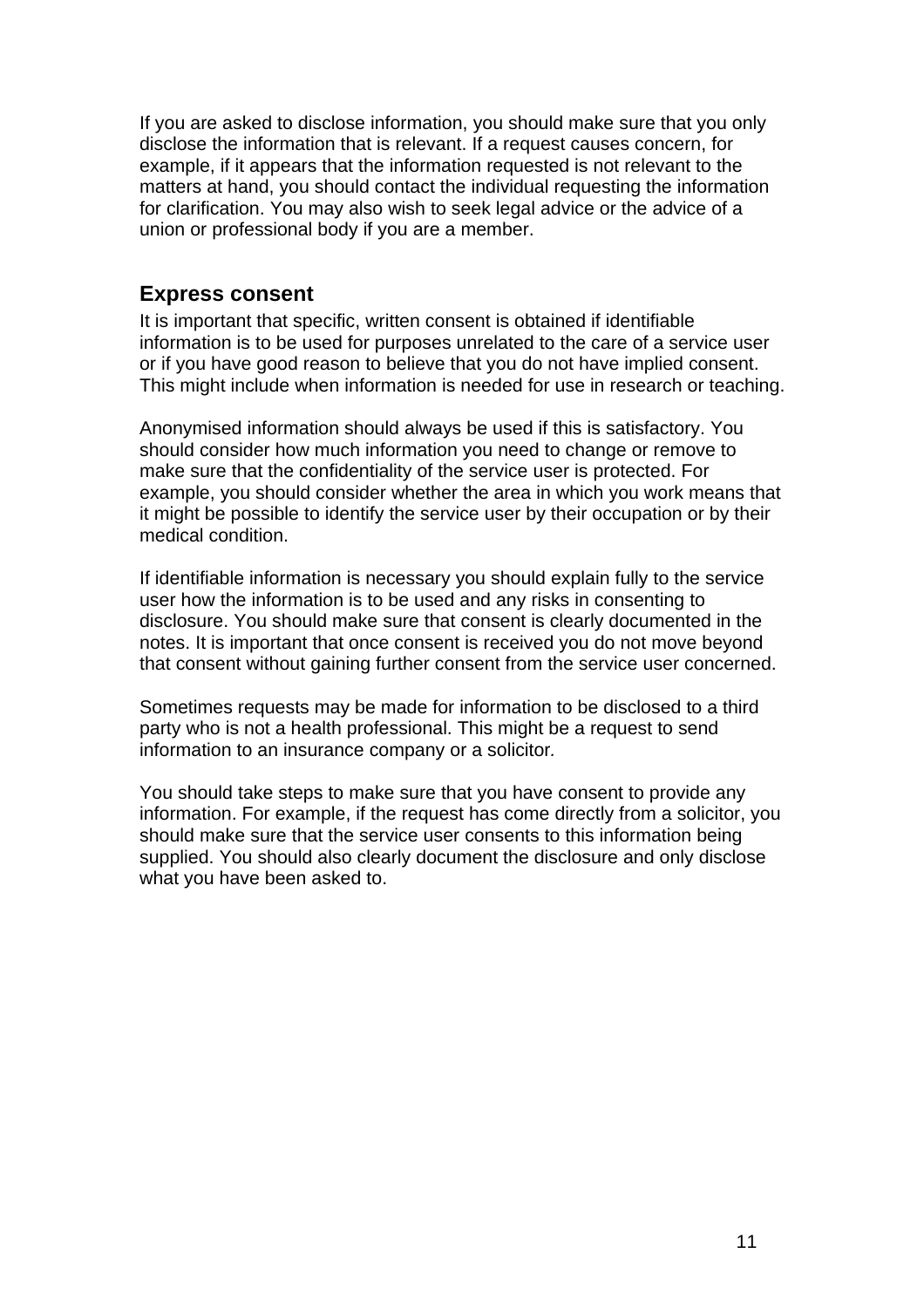If you are asked to disclose information, you should make sure that you only disclose the information that is relevant. If a request causes concern, for example, if it appears that the information requested is not relevant to the matters at hand, you should contact the individual requesting the information for clarification. You may also wish to seek legal advice or the advice of a union or professional body if you are a member.

## **Express consent**

It is important that specific, written consent is obtained if identifiable information is to be used for purposes unrelated to the care of a service user or if you have good reason to believe that you do not have implied consent. This might include when information is needed for use in research or teaching.

Anonymised information should always be used if this is satisfactory. You should consider how much information you need to change or remove to make sure that the confidentiality of the service user is protected. For example, you should consider whether the area in which you work means that it might be possible to identify the service user by their occupation or by their medical condition.

If identifiable information is necessary you should explain fully to the service user how the information is to be used and any risks in consenting to disclosure. You should make sure that consent is clearly documented in the notes. It is important that once consent is received you do not move beyond that consent without gaining further consent from the service user concerned.

Sometimes requests may be made for information to be disclosed to a third party who is not a health professional. This might be a request to send information to an insurance company or a solicitor*.*

You should take steps to make sure that you have consent to provide any information. For example, if the request has come directly from a solicitor, you should make sure that the service user consents to this information being supplied. You should also clearly document the disclosure and only disclose what you have been asked to.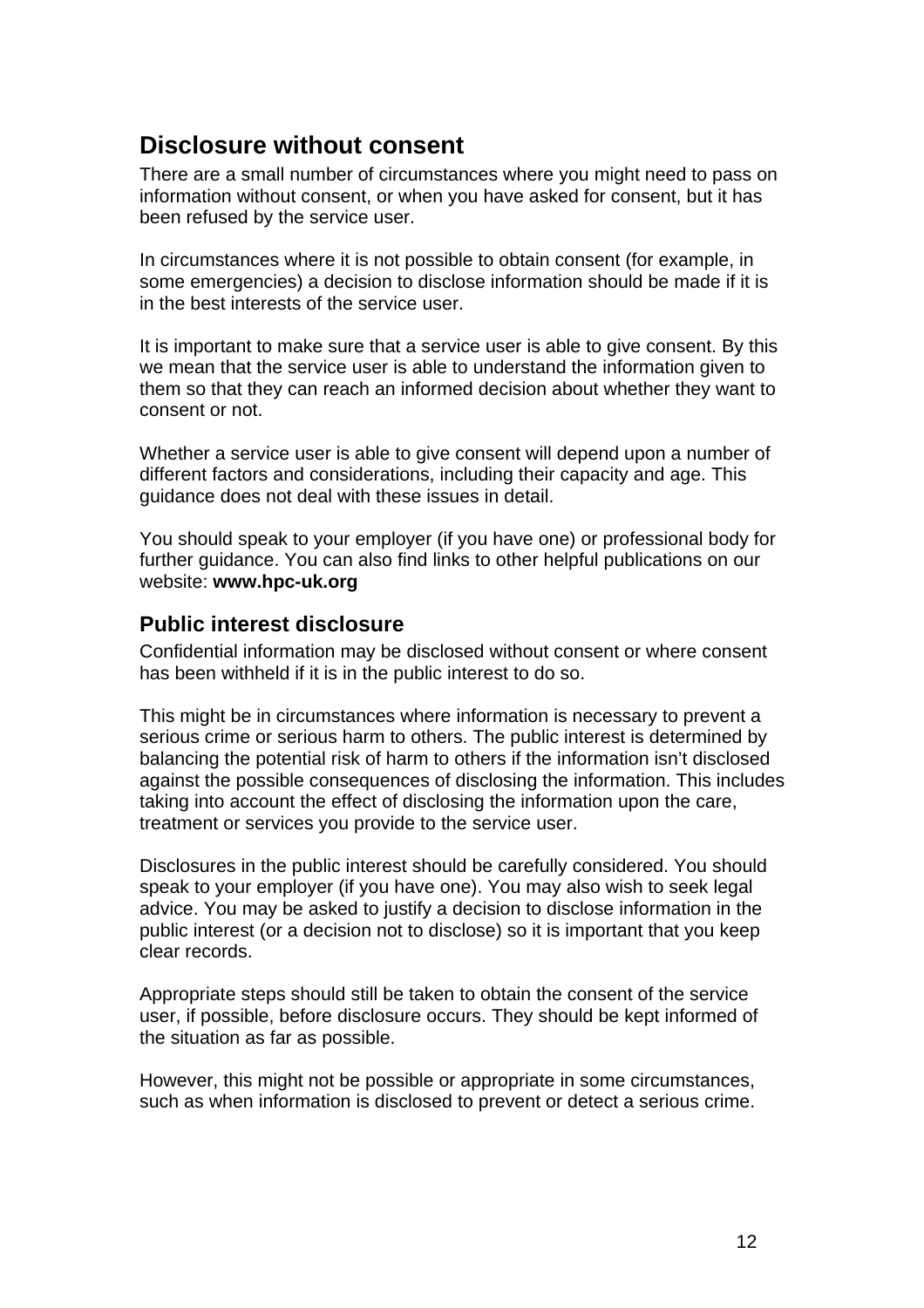# **Disclosure without consent**

There are a small number of circumstances where you might need to pass on information without consent, or when you have asked for consent, but it has been refused by the service user.

In circumstances where it is not possible to obtain consent (for example, in some emergencies) a decision to disclose information should be made if it is in the best interests of the service user.

It is important to make sure that a service user is able to give consent. By this we mean that the service user is able to understand the information given to them so that they can reach an informed decision about whether they want to consent or not.

Whether a service user is able to give consent will depend upon a number of different factors and considerations, including their capacity and age. This guidance does not deal with these issues in detail.

You should speak to your employer (if you have one) or professional body for further guidance. You can also find links to other helpful publications on our website: **www.hpc-uk.org**

## **Public interest disclosure**

Confidential information may be disclosed without consent or where consent has been withheld if it is in the public interest to do so.

This might be in circumstances where information is necessary to prevent a serious crime or serious harm to others. The public interest is determined by balancing the potential risk of harm to others if the information isn't disclosed against the possible consequences of disclosing the information. This includes taking into account the effect of disclosing the information upon the care, treatment or services you provide to the service user.

Disclosures in the public interest should be carefully considered. You should speak to your employer (if you have one). You may also wish to seek legal advice. You may be asked to justify a decision to disclose information in the public interest (or a decision not to disclose) so it is important that you keep clear records.

Appropriate steps should still be taken to obtain the consent of the service user, if possible, before disclosure occurs. They should be kept informed of the situation as far as possible.

However, this might not be possible or appropriate in some circumstances, such as when information is disclosed to prevent or detect a serious crime.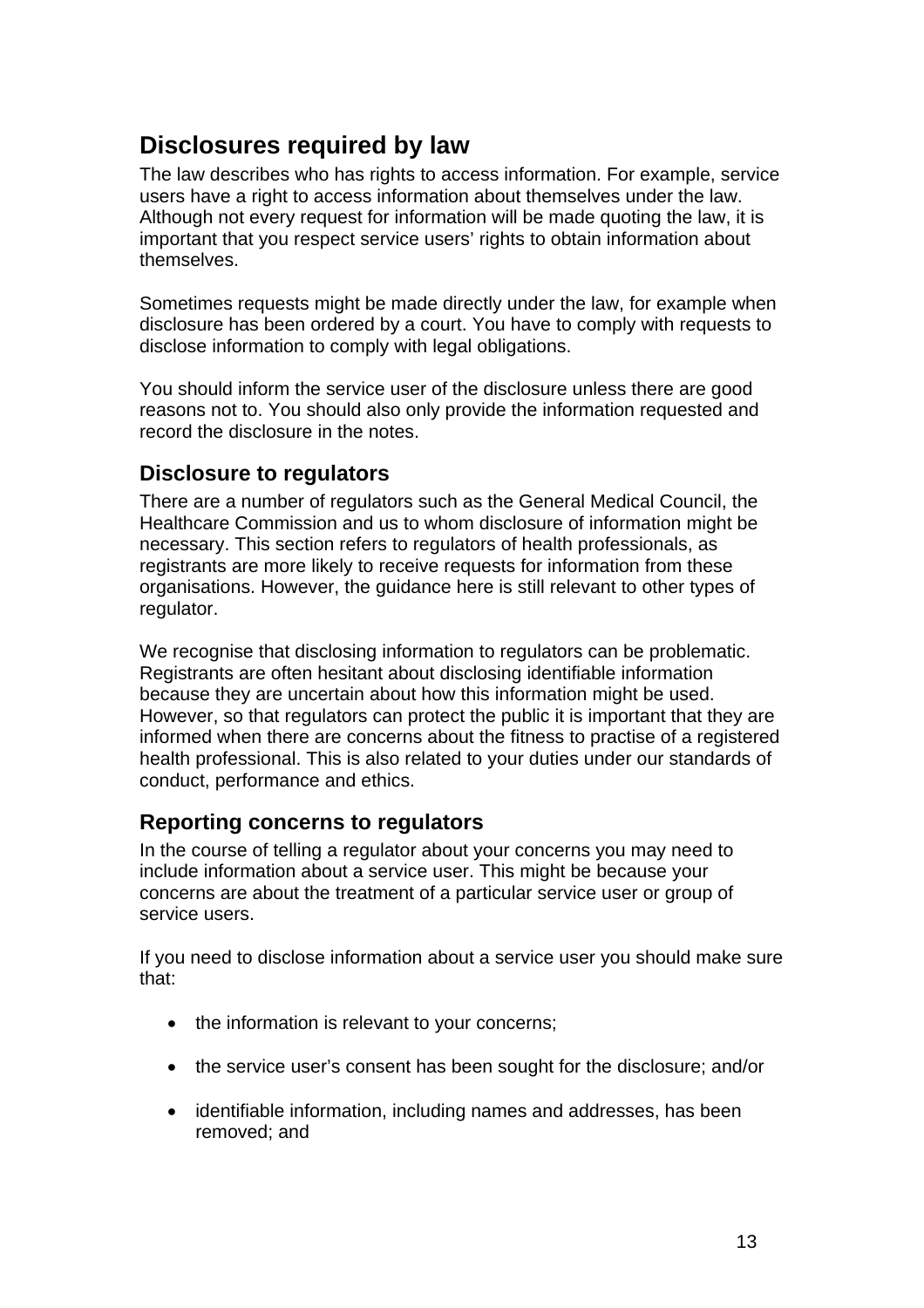# **Disclosures required by law**

The law describes who has rights to access information. For example, service users have a right to access information about themselves under the law. Although not every request for information will be made quoting the law, it is important that you respect service users' rights to obtain information about themselves.

Sometimes requests might be made directly under the law, for example when disclosure has been ordered by a court. You have to comply with requests to disclose information to comply with legal obligations.

You should inform the service user of the disclosure unless there are good reasons not to. You should also only provide the information requested and record the disclosure in the notes.

## **Disclosure to regulators**

There are a number of regulators such as the General Medical Council, the Healthcare Commission and us to whom disclosure of information might be necessary. This section refers to regulators of health professionals, as registrants are more likely to receive requests for information from these organisations. However, the guidance here is still relevant to other types of regulator.

We recognise that disclosing information to regulators can be problematic. Registrants are often hesitant about disclosing identifiable information because they are uncertain about how this information might be used. However, so that regulators can protect the public it is important that they are informed when there are concerns about the fitness to practise of a registered health professional. This is also related to your duties under our standards of conduct, performance and ethics.

# **Reporting concerns to regulators**

In the course of telling a regulator about your concerns you may need to include information about a service user. This might be because your concerns are about the treatment of a particular service user or group of service users.

If you need to disclose information about a service user you should make sure that:

- the information is relevant to your concerns;
- the service user's consent has been sought for the disclosure; and/or
- identifiable information, including names and addresses, has been removed; and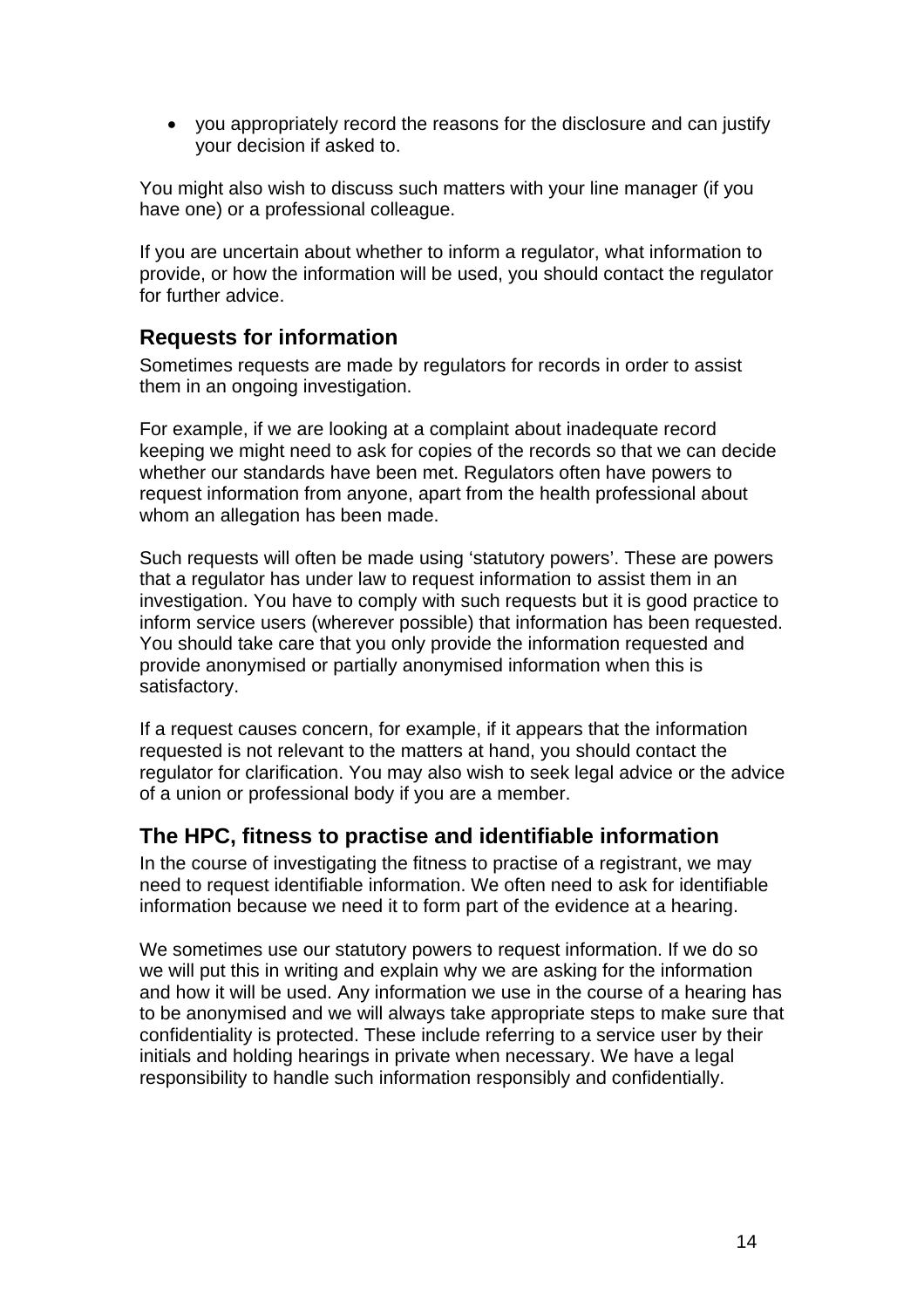• you appropriately record the reasons for the disclosure and can justify your decision if asked to.

You might also wish to discuss such matters with your line manager (if you have one) or a professional colleague.

If you are uncertain about whether to inform a regulator, what information to provide, or how the information will be used, you should contact the regulator for further advice.

## **Requests for information**

Sometimes requests are made by regulators for records in order to assist them in an ongoing investigation.

For example, if we are looking at a complaint about inadequate record keeping we might need to ask for copies of the records so that we can decide whether our standards have been met. Regulators often have powers to request information from anyone, apart from the health professional about whom an allegation has been made.

Such requests will often be made using 'statutory powers'. These are powers that a regulator has under law to request information to assist them in an investigation. You have to comply with such requests but it is good practice to inform service users (wherever possible) that information has been requested. You should take care that you only provide the information requested and provide anonymised or partially anonymised information when this is satisfactory.

If a request causes concern, for example, if it appears that the information requested is not relevant to the matters at hand, you should contact the regulator for clarification. You may also wish to seek legal advice or the advice of a union or professional body if you are a member.

## **The HPC, fitness to practise and identifiable information**

In the course of investigating the fitness to practise of a registrant, we may need to request identifiable information. We often need to ask for identifiable information because we need it to form part of the evidence at a hearing.

We sometimes use our statutory powers to request information. If we do so we will put this in writing and explain why we are asking for the information and how it will be used. Any information we use in the course of a hearing has to be anonymised and we will always take appropriate steps to make sure that confidentiality is protected. These include referring to a service user by their initials and holding hearings in private when necessary. We have a legal responsibility to handle such information responsibly and confidentially.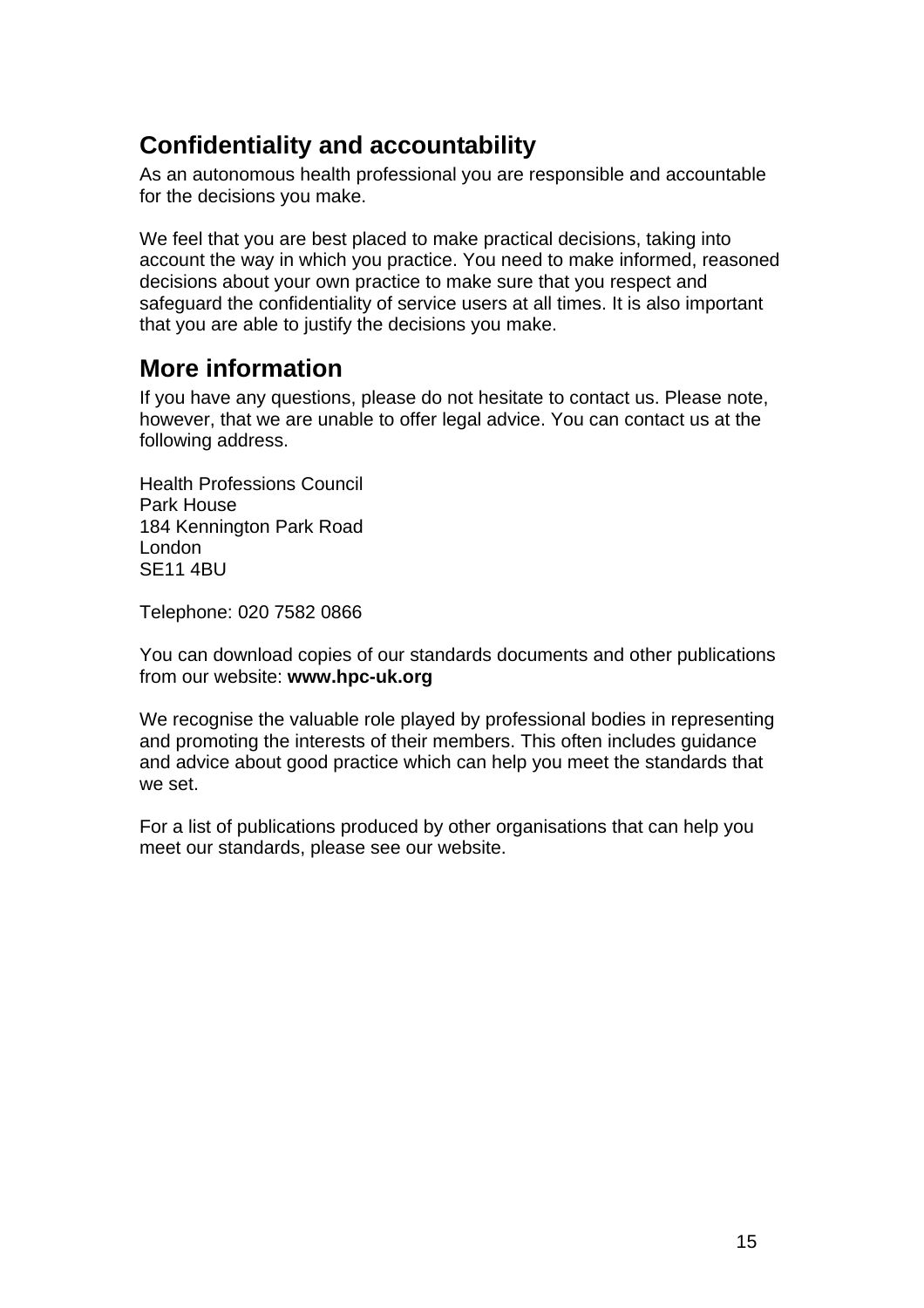# **Confidentiality and accountability**

As an autonomous health professional you are responsible and accountable for the decisions you make.

We feel that you are best placed to make practical decisions, taking into account the way in which you practice. You need to make informed, reasoned decisions about your own practice to make sure that you respect and safeguard the confidentiality of service users at all times. It is also important that you are able to justify the decisions you make.

# **More information**

If you have any questions, please do not hesitate to contact us. Please note, however, that we are unable to offer legal advice. You can contact us at the following address.

Health Professions Council Park House 184 Kennington Park Road London SE11 4BU

Telephone: 020 7582 0866

You can download copies of our standards documents and other publications from our website: **www.hpc-uk.org**

We recognise the valuable role played by professional bodies in representing and promoting the interests of their members. This often includes guidance and advice about good practice which can help you meet the standards that we set.

For a list of publications produced by other organisations that can help you meet our standards, please see our website.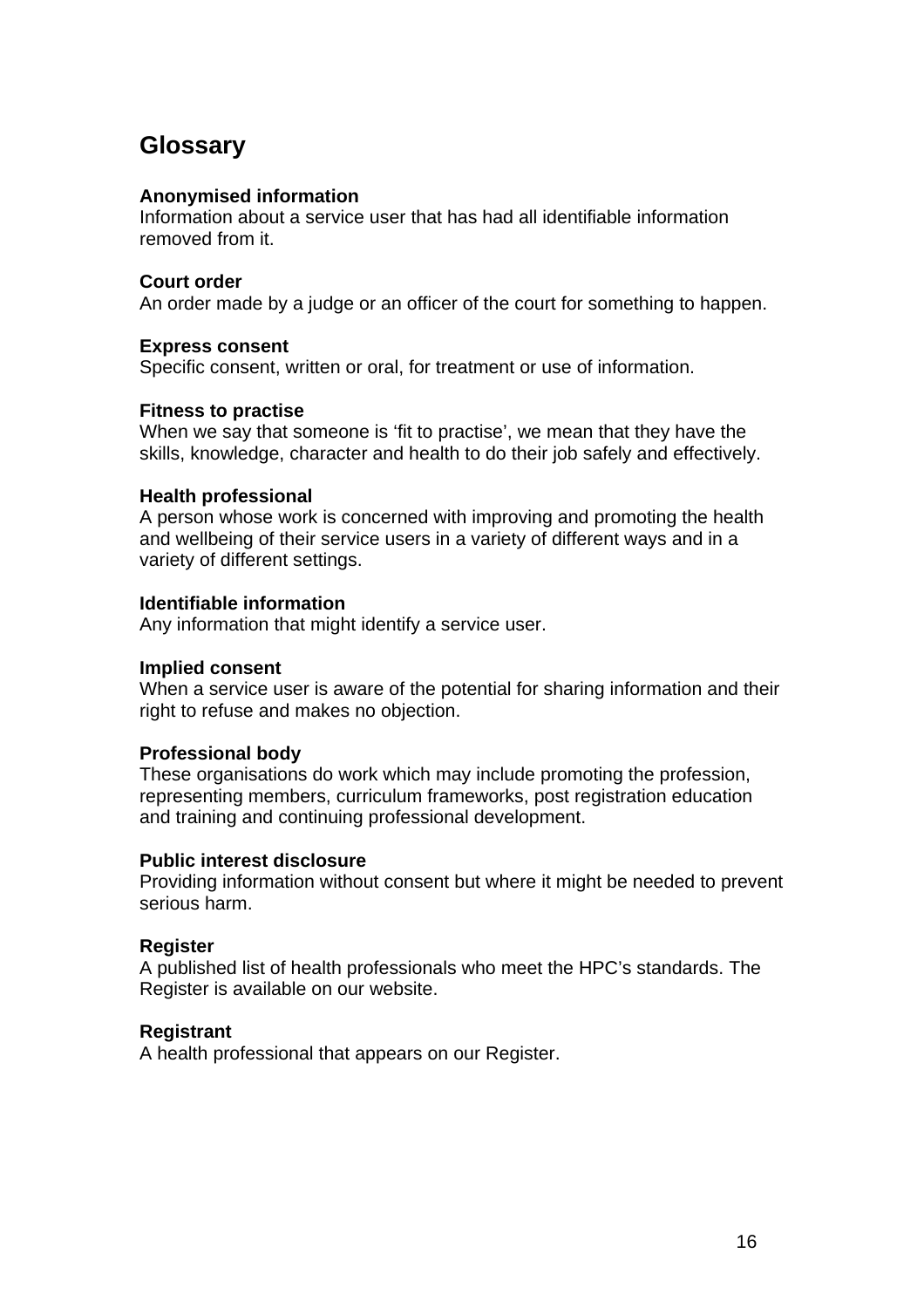# **Glossary**

#### **Anonymised information**

Information about a service user that has had all identifiable information removed from it.

## **Court order**

An order made by a judge or an officer of the court for something to happen.

#### **Express consent**

Specific consent, written or oral, for treatment or use of information.

#### **Fitness to practise**

When we say that someone is 'fit to practise', we mean that they have the skills, knowledge, character and health to do their job safely and effectively.

#### **Health professional**

A person whose work is concerned with improving and promoting the health and wellbeing of their service users in a variety of different ways and in a variety of different settings.

## **Identifiable information**

Any information that might identify a service user.

#### **Implied consent**

When a service user is aware of the potential for sharing information and their right to refuse and makes no objection.

## **Professional body**

These organisations do work which may include promoting the profession, representing members, curriculum frameworks, post registration education and training and continuing professional development.

## **Public interest disclosure**

Providing information without consent but where it might be needed to prevent serious harm.

## **Register**

A published list of health professionals who meet the HPC's standards. The Register is available on our website.

## **Registrant**

A health professional that appears on our Register.